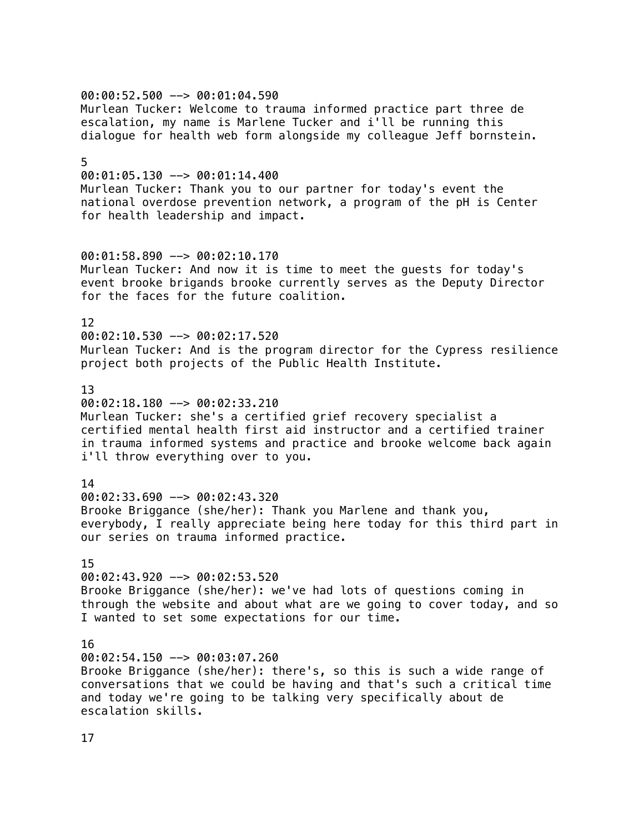$00:00:52.500$  -->  $00:01:04.590$ Murlean Tucker: Welcome to trauma informed practice part three de escalation, my name is Marlene Tucker and i'll be running this dialogue for health web form alongside my colleague Jeff bornstein.

### 5

00:01:05.130 --> 00:01:14.400

Murlean Tucker: Thank you to our partner for today's event the national overdose prevention network, a program of the pH is Center for health leadership and impact.

## 00:01:58.890 --> 00:02:10.170

Murlean Tucker: And now it is time to meet the guests for today's event brooke brigands brooke currently serves as the Deputy Director for the faces for the future coalition.

### 12

00:02:10.530 --> 00:02:17.520 Murlean Tucker: And is the program director for the Cypress resilience project both projects of the Public Health Institute.

## 13

 $0.00:02:18.180$  -->  $0.00:02:33.210$ Murlean Tucker: she's a certified grief recovery specialist a certified mental health first aid instructor and a certified trainer in trauma informed systems and practice and brooke welcome back again i'll throw everything over to you.

#### 14

00:02:33.690 --> 00:02:43.320 Brooke Briggance (she/her): Thank you Marlene and thank you, everybody, I really appreciate being here today for this third part in our series on trauma informed practice.

#### 15

00:02:43.920 --> 00:02:53.520 Brooke Briggance (she/her): we've had lots of questions coming in through the website and about what are we going to cover today, and so I wanted to set some expectations for our time.

## 16

00:02:54.150 --> 00:03:07.260

Brooke Briggance (she/her): there's, so this is such a wide range of conversations that we could be having and that's such a critical time and today we're going to be talking very specifically about de escalation skills.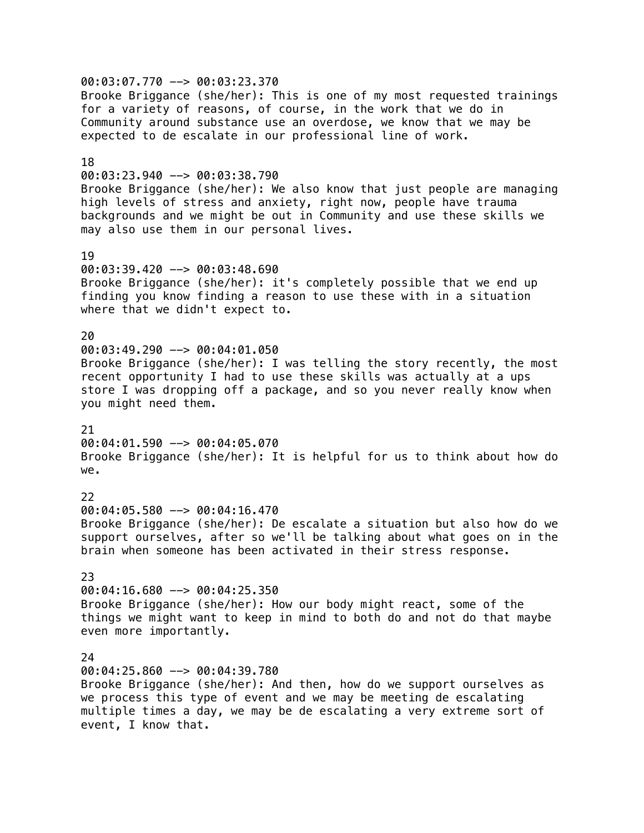00:03:07.770 --> 00:03:23.370 Brooke Briggance (she/her): This is one of my most requested trainings for a variety of reasons, of course, in the work that we do in Community around substance use an overdose, we know that we may be expected to de escalate in our professional line of work. 18  $00:03:23.940$  -->  $00:03:38.790$ Brooke Briggance (she/her): We also know that just people are managing high levels of stress and anxiety, right now, people have trauma backgrounds and we might be out in Community and use these skills we may also use them in our personal lives. 19  $00:03:39.420$  -->  $00:03:48.690$ Brooke Briggance (she/her): it's completely possible that we end up finding you know finding a reason to use these with in a situation where that we didn't expect to.  $20$ 00:03:49.290 --> 00:04:01.050 Brooke Briggance (she/her): I was telling the story recently, the most recent opportunity I had to use these skills was actually at a ups store I was dropping off a package, and so you never really know when you might need them. 21 00:04:01.590 --> 00:04:05.070 Brooke Briggance (she/her): It is helpful for us to think about how do we. 22 00:04:05.580 --> 00:04:16.470 Brooke Briggance (she/her): De escalate a situation but also how do we support ourselves, after so we'll be talking about what goes on in the brain when someone has been activated in their stress response. 23 00:04:16.680 --> 00:04:25.350 Brooke Briggance (she/her): How our body might react, some of the things we might want to keep in mind to both do and not do that maybe even more importantly. 24 00:04:25.860 --> 00:04:39.780 Brooke Briggance (she/her): And then, how do we support ourselves as we process this type of event and we may be meeting de escalating multiple times a day, we may be de escalating a very extreme sort of

event, I know that.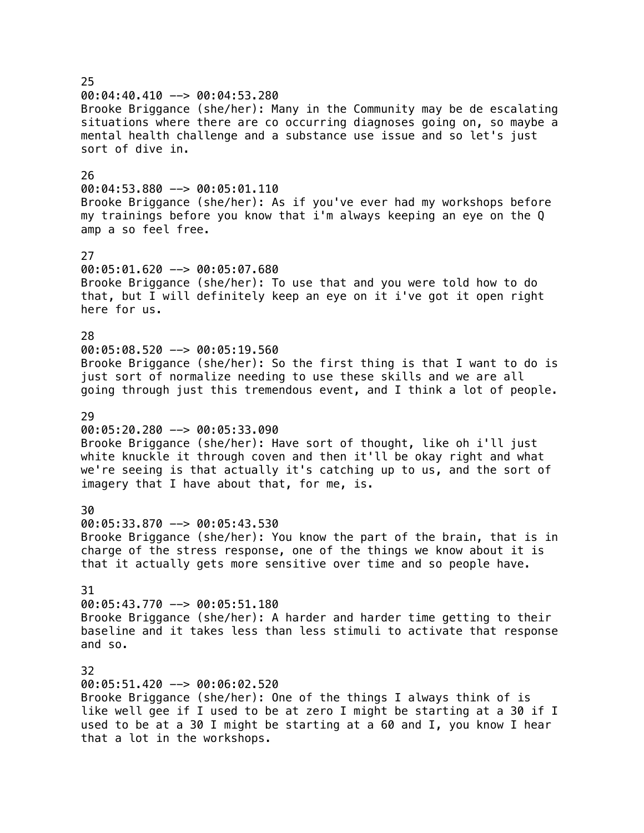25  $00:04:40.410$  -->  $00:04:53.280$ Brooke Briggance (she/her): Many in the Community may be de escalating situations where there are co occurring diagnoses going on, so maybe a mental health challenge and a substance use issue and so let's just sort of dive in. 26 00:04:53.880 --> 00:05:01.110 Brooke Briggance (she/her): As if you've ever had my workshops before my trainings before you know that i'm always keeping an eye on the Q amp a so feel free. 27 00:05:01.620 --> 00:05:07.680 Brooke Briggance (she/her): To use that and you were told how to do that, but I will definitely keep an eye on it i've got it open right here for us. 28 00:05:08.520 --> 00:05:19.560 Brooke Briggance (she/her): So the first thing is that I want to do is just sort of normalize needing to use these skills and we are all going through just this tremendous event, and I think a lot of people. 29 00:05:20.280 --> 00:05:33.090 Brooke Briggance (she/her): Have sort of thought, like oh i'll just white knuckle it through coven and then it'll be okay right and what we're seeing is that actually it's catching up to us, and the sort of imagery that I have about that, for me, is. 30 00:05:33.870 --> 00:05:43.530 Brooke Briggance (she/her): You know the part of the brain, that is in charge of the stress response, one of the things we know about it is that it actually gets more sensitive over time and so people have. 31 00:05:43.770 --> 00:05:51.180 Brooke Briggance (she/her): A harder and harder time getting to their baseline and it takes less than less stimuli to activate that response and so. 32 00:05:51.420 --> 00:06:02.520 Brooke Briggance (she/her): One of the things I always think of is like well gee if I used to be at zero I might be starting at a 30 if I used to be at a 30 I might be starting at a 60 and I, you know I hear that a lot in the workshops.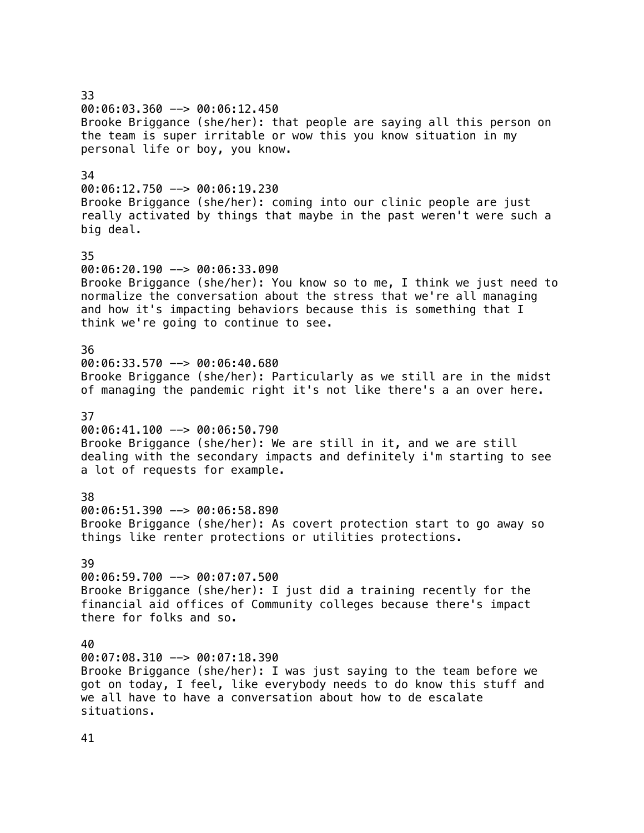33 00:06:03.360 --> 00:06:12.450 Brooke Briggance (she/her): that people are saying all this person on the team is super irritable or wow this you know situation in my personal life or boy, you know. 34  $00:06:12.750$  -->  $00:06:19.230$ Brooke Briggance (she/her): coming into our clinic people are just really activated by things that maybe in the past weren't were such a big deal. 35 00:06:20.190 --> 00:06:33.090 Brooke Briggance (she/her): You know so to me, I think we just need to normalize the conversation about the stress that we're all managing and how it's impacting behaviors because this is something that I think we're going to continue to see. 36 00:06:33.570 --> 00:06:40.680 Brooke Briggance (she/her): Particularly as we still are in the midst of managing the pandemic right it's not like there's a an over here. 37 00:06:41.100 --> 00:06:50.790 Brooke Briggance (she/her): We are still in it, and we are still dealing with the secondary impacts and definitely i'm starting to see a lot of requests for example. 38 00:06:51.390 --> 00:06:58.890 Brooke Briggance (she/her): As covert protection start to go away so things like renter protections or utilities protections. 39 00:06:59.700 --> 00:07:07.500 Brooke Briggance (she/her): I just did a training recently for the financial aid offices of Community colleges because there's impact there for folks and so. 40 00:07:08.310 --> 00:07:18.390 Brooke Briggance (she/her): I was just saying to the team before we got on today, I feel, like everybody needs to do know this stuff and we all have to have a conversation about how to de escalate situations.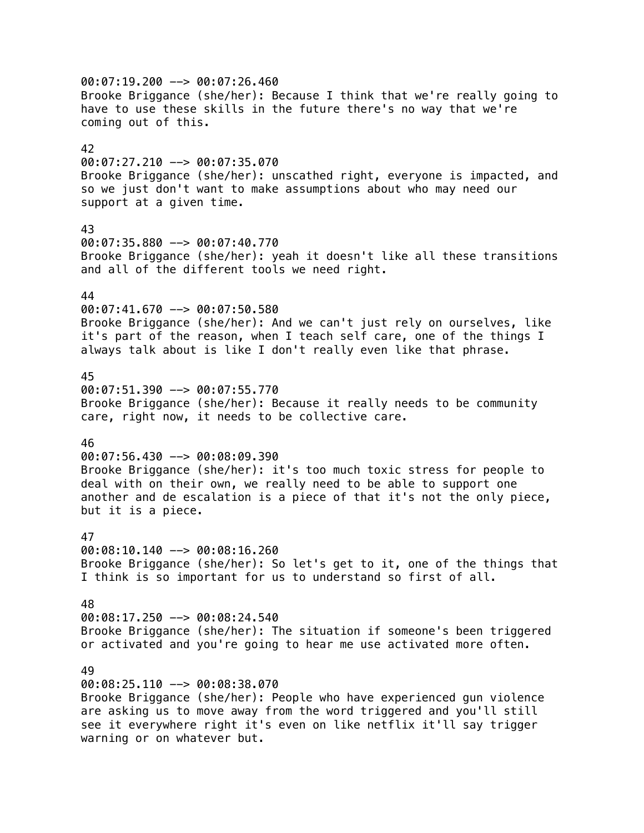00:07:19.200 --> 00:07:26.460 Brooke Briggance (she/her): Because I think that we're really going to have to use these skills in the future there's no way that we're coming out of this. 42 00:07:27.210 --> 00:07:35.070 Brooke Briggance (she/her): unscathed right, everyone is impacted, and so we just don't want to make assumptions about who may need our support at a given time. 43 00:07:35.880 --> 00:07:40.770 Brooke Briggance (she/her): yeah it doesn't like all these transitions and all of the different tools we need right. 44 00:07:41.670 --> 00:07:50.580 Brooke Briggance (she/her): And we can't just rely on ourselves, like it's part of the reason, when I teach self care, one of the things I always talk about is like I don't really even like that phrase. 45 00:07:51.390 --> 00:07:55.770 Brooke Briggance (she/her): Because it really needs to be community care, right now, it needs to be collective care. 46 00:07:56.430 --> 00:08:09.390 Brooke Briggance (she/her): it's too much toxic stress for people to deal with on their own, we really need to be able to support one another and de escalation is a piece of that it's not the only piece, but it is a piece. 47 00:08:10.140 --> 00:08:16.260 Brooke Briggance (she/her): So let's get to it, one of the things that I think is so important for us to understand so first of all. 48 00:08:17.250 --> 00:08:24.540 Brooke Briggance (she/her): The situation if someone's been triggered or activated and you're going to hear me use activated more often. 49 00:08:25.110 --> 00:08:38.070 Brooke Briggance (she/her): People who have experienced gun violence are asking us to move away from the word triggered and you'll still see it everywhere right it's even on like netflix it'll say trigger

warning or on whatever but.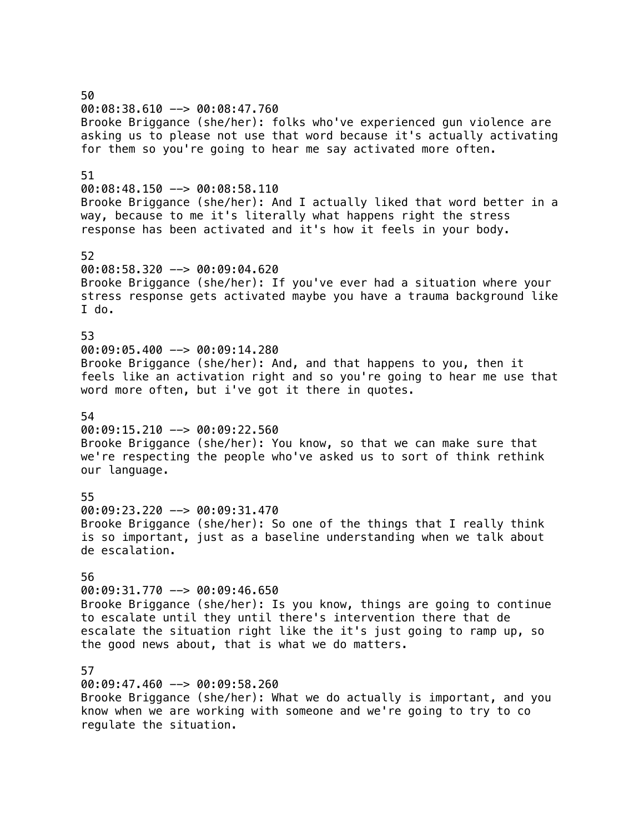50 00:08:38.610 --> 00:08:47.760 Brooke Briggance (she/her): folks who've experienced gun violence are asking us to please not use that word because it's actually activating for them so you're going to hear me say activated more often. 51 00:08:48.150 --> 00:08:58.110 Brooke Briggance (she/her): And I actually liked that word better in a way, because to me it's literally what happens right the stress response has been activated and it's how it feels in your body. 52 00:08:58.320 --> 00:09:04.620 Brooke Briggance (she/her): If you've ever had a situation where your stress response gets activated maybe you have a trauma background like I do. 53 00:09:05.400 --> 00:09:14.280 Brooke Briggance (she/her): And, and that happens to you, then it feels like an activation right and so you're going to hear me use that word more often, but i've got it there in quotes. 54  $00:09:15.210$  -->  $00:09:22.560$ Brooke Briggance (she/her): You know, so that we can make sure that we're respecting the people who've asked us to sort of think rethink our language. 55 00:09:23.220 --> 00:09:31.470 Brooke Briggance (she/her): So one of the things that I really think is so important, just as a baseline understanding when we talk about de escalation. 56 00:09:31.770 --> 00:09:46.650 Brooke Briggance (she/her): Is you know, things are going to continue to escalate until they until there's intervention there that de escalate the situation right like the it's just going to ramp up, so the good news about, that is what we do matters. 57 00:09:47.460 --> 00:09:58.260 Brooke Briggance (she/her): What we do actually is important, and you know when we are working with someone and we're going to try to co regulate the situation.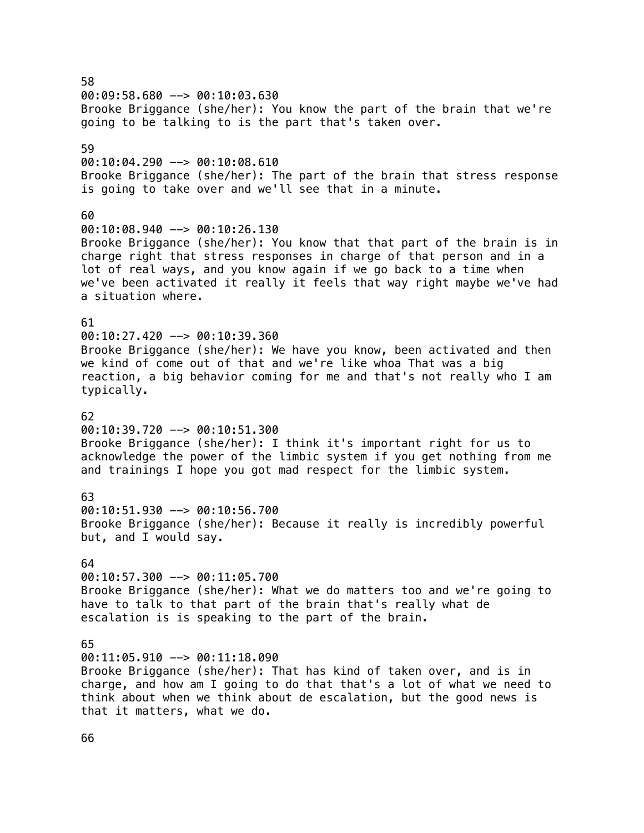58  $00:09:58.680$  -->  $00:10:03.630$ Brooke Briggance (she/her): You know the part of the brain that we're going to be talking to is the part that's taken over. 59 00:10:04.290 --> 00:10:08.610 Brooke Briggance (she/her): The part of the brain that stress response is going to take over and we'll see that in a minute. 60 00:10:08.940 --> 00:10:26.130 Brooke Briggance (she/her): You know that that part of the brain is in charge right that stress responses in charge of that person and in a lot of real ways, and you know again if we go back to a time when we've been activated it really it feels that way right maybe we've had a situation where. 61  $00:10:27.420$  -->  $00:10:39.360$ Brooke Briggance (she/her): We have you know, been activated and then we kind of come out of that and we're like whoa That was a big reaction, a big behavior coming for me and that's not really who I am typically. 62 00:10:39.720 --> 00:10:51.300 Brooke Briggance (she/her): I think it's important right for us to acknowledge the power of the limbic system if you get nothing from me and trainings I hope you got mad respect for the limbic system. 63 00:10:51.930 --> 00:10:56.700 Brooke Briggance (she/her): Because it really is incredibly powerful but, and I would say. 64 00:10:57.300 --> 00:11:05.700 Brooke Briggance (she/her): What we do matters too and we're going to have to talk to that part of the brain that's really what de escalation is is speaking to the part of the brain. 65 00:11:05.910 --> 00:11:18.090 Brooke Briggance (she/her): That has kind of taken over, and is in charge, and how am I going to do that that's a lot of what we need to think about when we think about de escalation, but the good news is that it matters, what we do.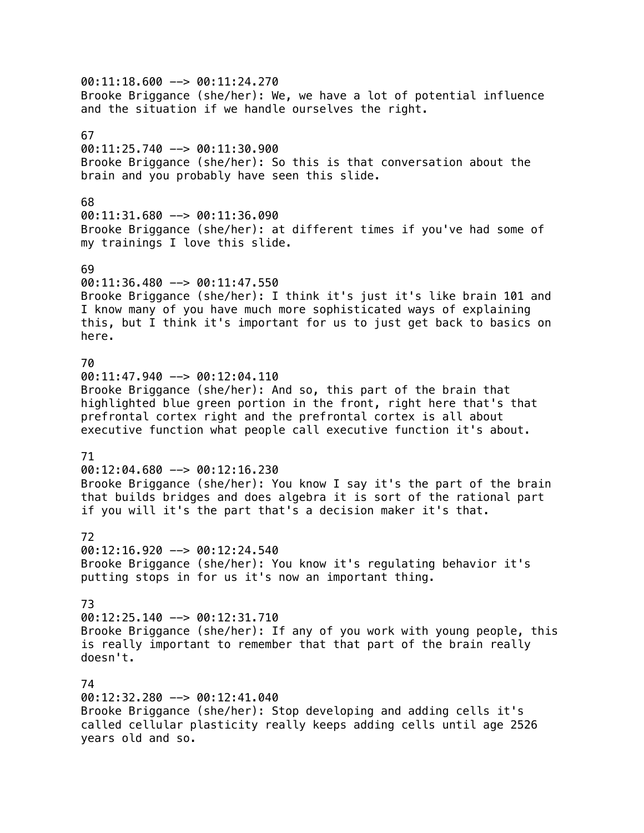00:11:18.600 --> 00:11:24.270 Brooke Briggance (she/her): We, we have a lot of potential influence and the situation if we handle ourselves the right. 67 00:11:25.740 --> 00:11:30.900 Brooke Briggance (she/her): So this is that conversation about the brain and you probably have seen this slide. 68  $00:11:31.680$  -->  $00:11:36.090$ Brooke Briggance (she/her): at different times if you've had some of my trainings I love this slide. 69 00:11:36.480 --> 00:11:47.550 Brooke Briggance (she/her): I think it's just it's like brain 101 and I know many of you have much more sophisticated ways of explaining this, but I think it's important for us to just get back to basics on here. 70 00:11:47.940 --> 00:12:04.110 Brooke Briggance (she/her): And so, this part of the brain that highlighted blue green portion in the front, right here that's that prefrontal cortex right and the prefrontal cortex is all about executive function what people call executive function it's about. 71 00:12:04.680 --> 00:12:16.230 Brooke Briggance (she/her): You know I say it's the part of the brain that builds bridges and does algebra it is sort of the rational part if you will it's the part that's a decision maker it's that. 72 00:12:16.920 --> 00:12:24.540 Brooke Briggance (she/her): You know it's regulating behavior it's putting stops in for us it's now an important thing. 73 00:12:25.140 --> 00:12:31.710 Brooke Briggance (she/her): If any of you work with young people, this is really important to remember that that part of the brain really doesn't. 74 00:12:32.280 --> 00:12:41.040 Brooke Briggance (she/her): Stop developing and adding cells it's called cellular plasticity really keeps adding cells until age 2526

years old and so.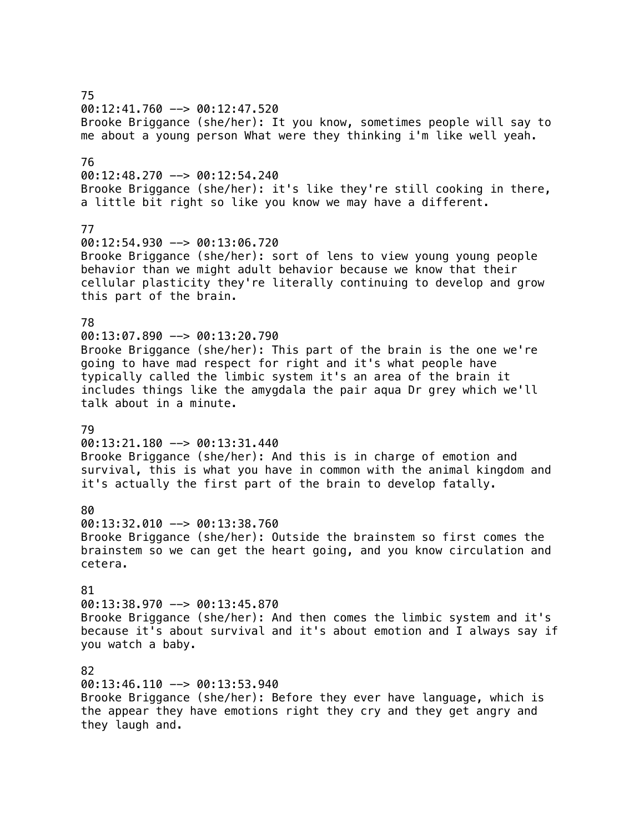# 75 00:12:41.760 --> 00:12:47.520 Brooke Briggance (she/her): It you know, sometimes people will say to me about a young person What were they thinking i'm like well yeah. 76  $00:12:48.270$  -->  $00:12:54.240$ Brooke Briggance (she/her): it's like they're still cooking in there, a little bit right so like you know we may have a different. 77 00:12:54.930 --> 00:13:06.720 Brooke Briggance (she/her): sort of lens to view young young people behavior than we might adult behavior because we know that their cellular plasticity they're literally continuing to develop and grow this part of the brain. 78 00:13:07.890 --> 00:13:20.790 Brooke Briggance (she/her): This part of the brain is the one we're going to have mad respect for right and it's what people have typically called the limbic system it's an area of the brain it includes things like the amygdala the pair aqua Dr grey which we'll talk about in a minute. 79  $00:13:21.180$  -->  $00:13:31.440$ Brooke Briggance (she/her): And this is in charge of emotion and survival, this is what you have in common with the animal kingdom and it's actually the first part of the brain to develop fatally. 80 00:13:32.010 --> 00:13:38.760 Brooke Briggance (she/her): Outside the brainstem so first comes the brainstem so we can get the heart going, and you know circulation and cetera. 81 00:13:38.970 --> 00:13:45.870 Brooke Briggance (she/her): And then comes the limbic system and it's because it's about survival and it's about emotion and I always say if you watch a baby. 82 00:13:46.110 --> 00:13:53.940 Brooke Briggance (she/her): Before they ever have language, which is the appear they have emotions right they cry and they get angry and

they laugh and.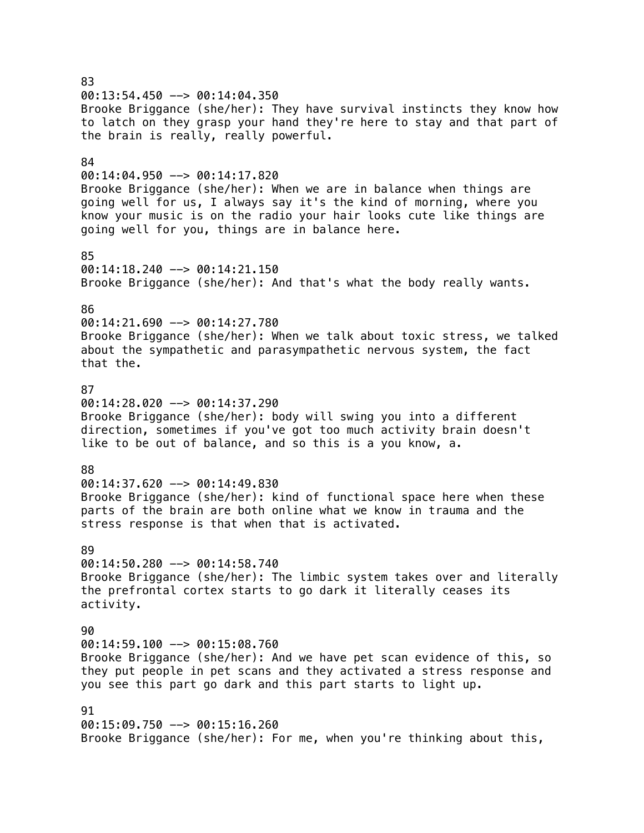83  $00:13:54.450$  -->  $00:14:04.350$ Brooke Briggance (she/her): They have survival instincts they know how to latch on they grasp your hand they're here to stay and that part of the brain is really, really powerful. 84  $00:14:04.950$  -->  $00:14:17.820$ Brooke Briggance (she/her): When we are in balance when things are going well for us, I always say it's the kind of morning, where you know your music is on the radio your hair looks cute like things are going well for you, things are in balance here. 85 00:14:18.240 --> 00:14:21.150 Brooke Briggance (she/her): And that's what the body really wants. 86 00:14:21.690 --> 00:14:27.780 Brooke Briggance (she/her): When we talk about toxic stress, we talked about the sympathetic and parasympathetic nervous system, the fact that the. 87 00:14:28.020 --> 00:14:37.290 Brooke Briggance (she/her): body will swing you into a different direction, sometimes if you've got too much activity brain doesn't like to be out of balance, and so this is a you know, a. 88 00:14:37.620 --> 00:14:49.830 Brooke Briggance (she/her): kind of functional space here when these parts of the brain are both online what we know in trauma and the stress response is that when that is activated. 89  $00:14:50.280$  -->  $00:14:58.740$ Brooke Briggance (she/her): The limbic system takes over and literally the prefrontal cortex starts to go dark it literally ceases its activity.  $90$ 00:14:59.100 --> 00:15:08.760 Brooke Briggance (she/her): And we have pet scan evidence of this, so they put people in pet scans and they activated a stress response and you see this part go dark and this part starts to light up. 91 00:15:09.750 --> 00:15:16.260 Brooke Briggance (she/her): For me, when you're thinking about this,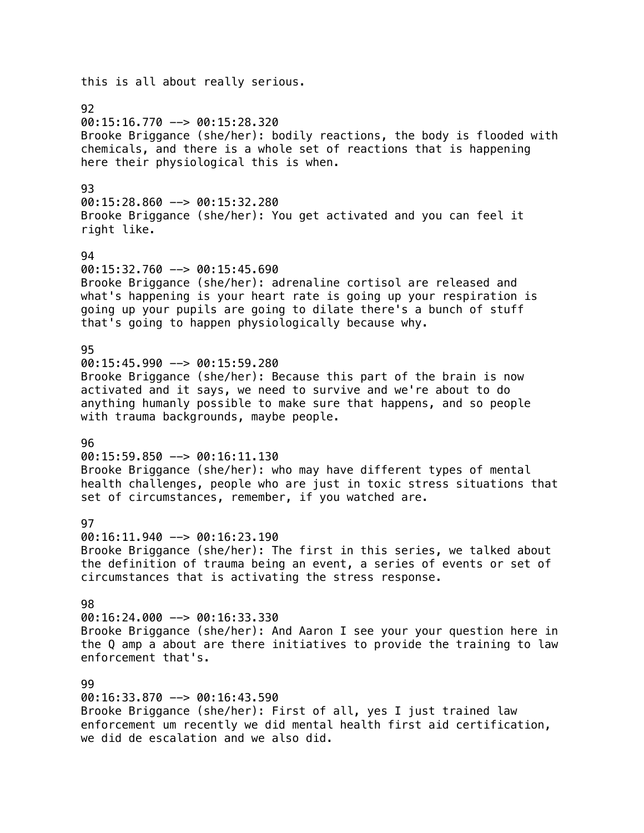this is all about really serious. 92 00:15:16.770 --> 00:15:28.320 Brooke Briggance (she/her): bodily reactions, the body is flooded with chemicals, and there is a whole set of reactions that is happening here their physiological this is when. 93 00:15:28.860 --> 00:15:32.280 Brooke Briggance (she/her): You get activated and you can feel it right like. 94  $00:15:32.760$  -->  $00:15:45.690$ Brooke Briggance (she/her): adrenaline cortisol are released and what's happening is your heart rate is going up your respiration is going up your pupils are going to dilate there's a bunch of stuff that's going to happen physiologically because why. 95  $00:15:45.990$  -->  $00:15:59.280$ Brooke Briggance (she/her): Because this part of the brain is now activated and it says, we need to survive and we're about to do anything humanly possible to make sure that happens, and so people with trauma backgrounds, maybe people. 96 00:15:59.850 --> 00:16:11.130 Brooke Briggance (she/her): who may have different types of mental health challenges, people who are just in toxic stress situations that set of circumstances, remember, if you watched are. **97** 00:16:11.940 --> 00:16:23.190 Brooke Briggance (she/her): The first in this series, we talked about the definition of trauma being an event, a series of events or set of circumstances that is activating the stress response. 98 00:16:24.000 --> 00:16:33.330 Brooke Briggance (she/her): And Aaron I see your your question here in the Q amp a about are there initiatives to provide the training to law enforcement that's. 99 00:16:33.870 --> 00:16:43.590 Brooke Briggance (she/her): First of all, yes I just trained law enforcement um recently we did mental health first aid certification,

we did de escalation and we also did.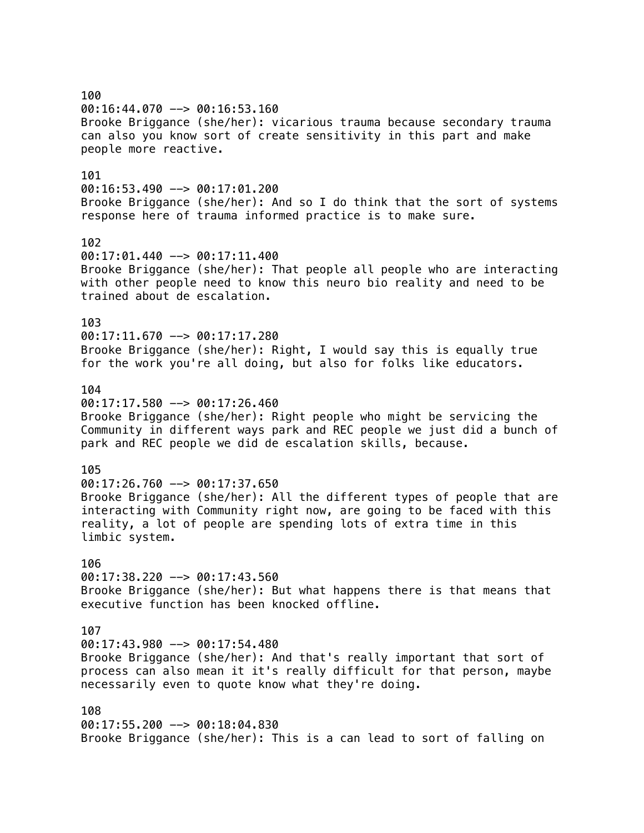100 00:16:44.070 --> 00:16:53.160 Brooke Briggance (she/her): vicarious trauma because secondary trauma can also you know sort of create sensitivity in this part and make people more reactive. 101  $00:16:53.490$  -->  $00:17:01.200$ Brooke Briggance (she/her): And so I do think that the sort of systems response here of trauma informed practice is to make sure. 102 00:17:01.440 --> 00:17:11.400 Brooke Briggance (she/her): That people all people who are interacting with other people need to know this neuro bio reality and need to be trained about de escalation. 103  $00:17:11.670$  -->  $00:17:17.280$ Brooke Briggance (she/her): Right, I would say this is equally true for the work you're all doing, but also for folks like educators. 104  $0.17:17.580$  -->  $0.17:26.460$ Brooke Briggance (she/her): Right people who might be servicing the Community in different ways park and REC people we just did a bunch of park and REC people we did de escalation skills, because. 105 00:17:26.760 --> 00:17:37.650 Brooke Briggance (she/her): All the different types of people that are interacting with Community right now, are going to be faced with this reality, a lot of people are spending lots of extra time in this limbic system. 106 00:17:38.220 --> 00:17:43.560 Brooke Briggance (she/her): But what happens there is that means that executive function has been knocked offline. 107 00:17:43.980 --> 00:17:54.480 Brooke Briggance (she/her): And that's really important that sort of process can also mean it it's really difficult for that person, maybe necessarily even to quote know what they're doing. 108 00:17:55.200 --> 00:18:04.830 Brooke Briggance (she/her): This is a can lead to sort of falling on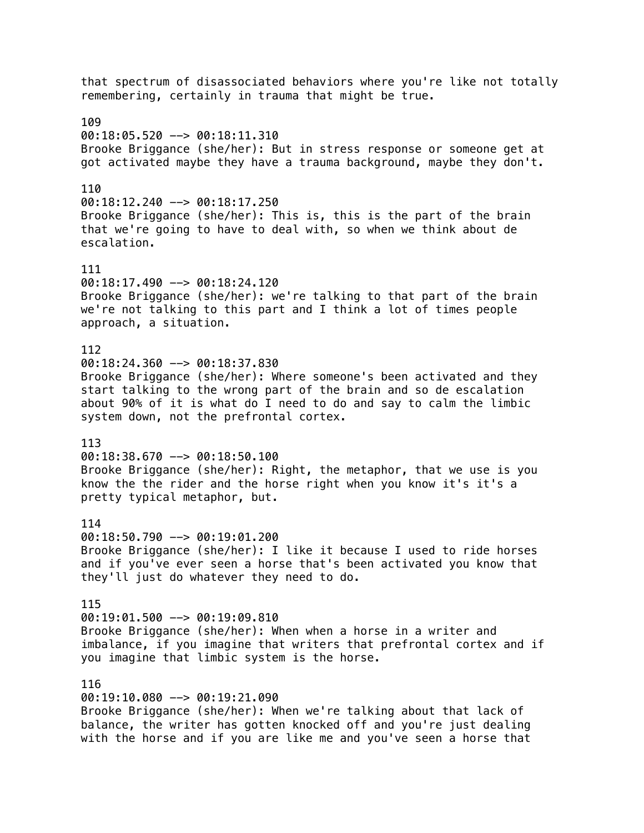that spectrum of disassociated behaviors where you're like not totally remembering, certainly in trauma that might be true. 109  $00:18:05.520$  -->  $00:18:11.310$ Brooke Briggance (she/her): But in stress response or someone get at got activated maybe they have a trauma background, maybe they don't. 110 00:18:12.240 --> 00:18:17.250 Brooke Briggance (she/her): This is, this is the part of the brain that we're going to have to deal with, so when we think about de escalation. 111 00:18:17.490 --> 00:18:24.120 Brooke Briggance (she/her): we're talking to that part of the brain we're not talking to this part and I think a lot of times people approach, a situation. 112 00:18:24.360 --> 00:18:37.830 Brooke Briggance (she/her): Where someone's been activated and they start talking to the wrong part of the brain and so de escalation about 90% of it is what do I need to do and say to calm the limbic system down, not the prefrontal cortex. 113 00:18:38.670 --> 00:18:50.100 Brooke Briggance (she/her): Right, the metaphor, that we use is you know the the rider and the horse right when you know it's it's a pretty typical metaphor, but. 114 00:18:50.790 --> 00:19:01.200 Brooke Briggance (she/her): I like it because I used to ride horses and if you've ever seen a horse that's been activated you know that they'll just do whatever they need to do. 115 00:19:01.500 --> 00:19:09.810 Brooke Briggance (she/her): When when a horse in a writer and imbalance, if you imagine that writers that prefrontal cortex and if you imagine that limbic system is the horse. 116 00:19:10.080 --> 00:19:21.090 Brooke Briggance (she/her): When we're talking about that lack of

balance, the writer has gotten knocked off and you're just dealing with the horse and if you are like me and you've seen a horse that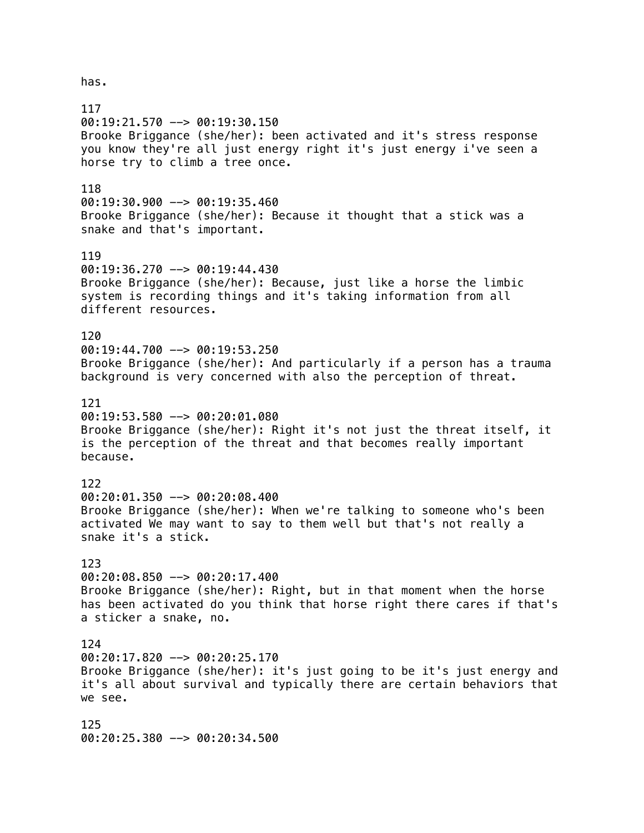has.

117 00:19:21.570 --> 00:19:30.150 Brooke Briggance (she/her): been activated and it's stress response you know they're all just energy right it's just energy i've seen a horse try to climb a tree once. 118 00:19:30.900 --> 00:19:35.460 Brooke Briggance (she/her): Because it thought that a stick was a snake and that's important. 119 00:19:36.270 --> 00:19:44.430 Brooke Briggance (she/her): Because, just like a horse the limbic system is recording things and it's taking information from all different resources. 120  $00:19:44.700$  -->  $00:19:53.250$ Brooke Briggance (she/her): And particularly if a person has a trauma background is very concerned with also the perception of threat. 121 00:19:53.580 --> 00:20:01.080 Brooke Briggance (she/her): Right it's not just the threat itself, it is the perception of the threat and that becomes really important because. 122 00:20:01.350 --> 00:20:08.400 Brooke Briggance (she/her): When we're talking to someone who's been activated We may want to say to them well but that's not really a snake it's a stick. 123 00:20:08.850 --> 00:20:17.400 Brooke Briggance (she/her): Right, but in that moment when the horse has been activated do you think that horse right there cares if that's a sticker a snake, no. 124 00:20:17.820 --> 00:20:25.170 Brooke Briggance (she/her): it's just going to be it's just energy and it's all about survival and typically there are certain behaviors that we see. 125 00:20:25.380 --> 00:20:34.500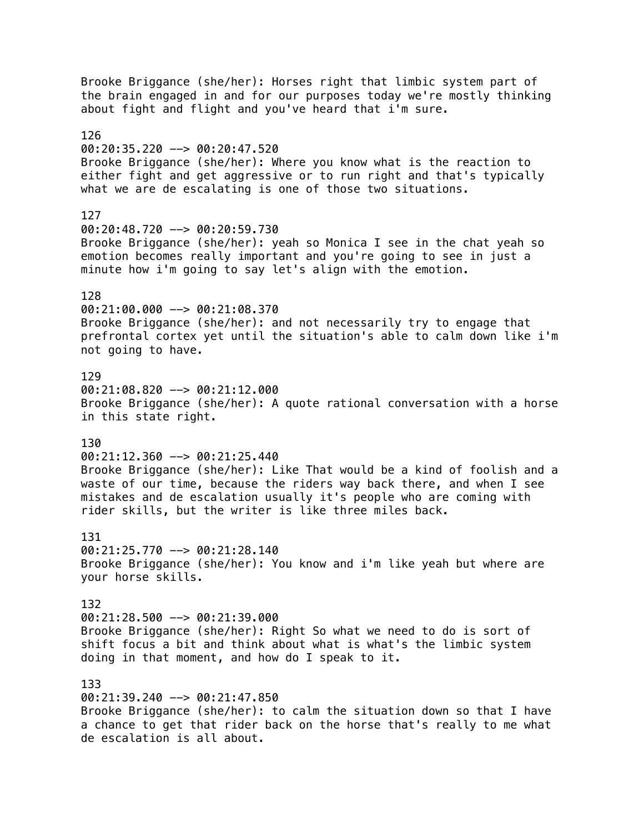Brooke Briggance (she/her): Horses right that limbic system part of the brain engaged in and for our purposes today we're mostly thinking about fight and flight and you've heard that i'm sure. 126 00:20:35.220 --> 00:20:47.520 Brooke Briggance (she/her): Where you know what is the reaction to either fight and get aggressive or to run right and that's typically what we are de escalating is one of those two situations. 127 00:20:48.720 --> 00:20:59.730 Brooke Briggance (she/her): yeah so Monica I see in the chat yeah so emotion becomes really important and you're going to see in just a minute how i'm going to say let's align with the emotion. 128 00:21:00.000 --> 00:21:08.370 Brooke Briggance (she/her): and not necessarily try to engage that prefrontal cortex yet until the situation's able to calm down like i'm not going to have. 129 00:21:08.820 --> 00:21:12.000 Brooke Briggance (she/her): A quote rational conversation with a horse in this state right. 130 00:21:12.360 --> 00:21:25.440 Brooke Briggance (she/her): Like That would be a kind of foolish and a waste of our time, because the riders way back there, and when I see mistakes and de escalation usually it's people who are coming with rider skills, but the writer is like three miles back. 131 00:21:25.770 --> 00:21:28.140 Brooke Briggance (she/her): You know and i'm like yeah but where are your horse skills. 132 00:21:28.500 --> 00:21:39.000 Brooke Briggance (she/her): Right So what we need to do is sort of shift focus a bit and think about what is what's the limbic system doing in that moment, and how do I speak to it. 133 00:21:39.240 --> 00:21:47.850 Brooke Briggance (she/her): to calm the situation down so that I have a chance to get that rider back on the horse that's really to me what de escalation is all about.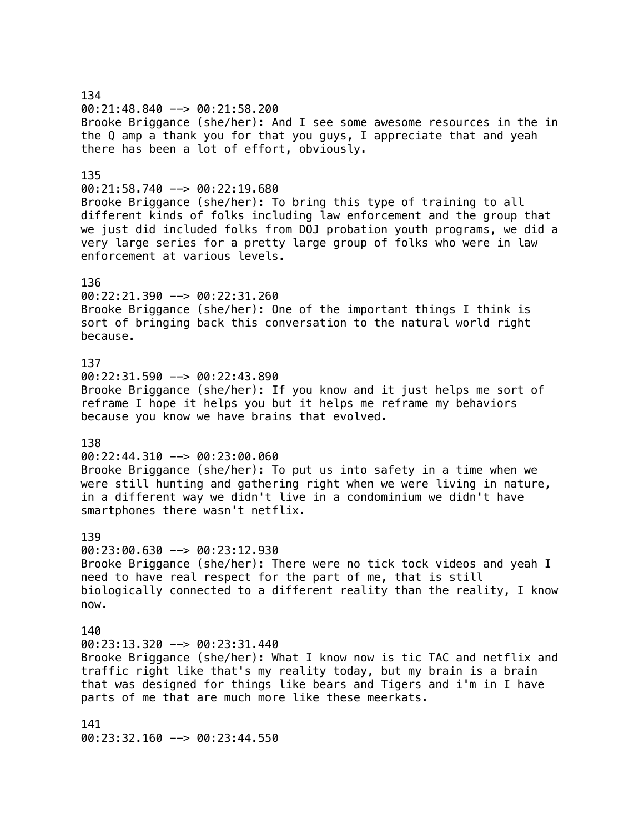134 00:21:48.840 --> 00:21:58.200 Brooke Briggance (she/her): And I see some awesome resources in the in the Q amp a thank you for that you guys, I appreciate that and yeah there has been a lot of effort, obviously. 135  $00:21:58.740$  -->  $00:22:19.680$ Brooke Briggance (she/her): To bring this type of training to all different kinds of folks including law enforcement and the group that we just did included folks from DOJ probation youth programs, we did a very large series for a pretty large group of folks who were in law enforcement at various levels. 136 00:22:21.390 --> 00:22:31.260 Brooke Briggance (she/her): One of the important things I think is sort of bringing back this conversation to the natural world right because. 137 00:22:31.590 --> 00:22:43.890 Brooke Briggance (she/her): If you know and it just helps me sort of reframe I hope it helps you but it helps me reframe my behaviors because you know we have brains that evolved. 138 00:22:44.310 --> 00:23:00.060 Brooke Briggance (she/her): To put us into safety in a time when we were still hunting and gathering right when we were living in nature, in a different way we didn't live in a condominium we didn't have smartphones there wasn't netflix. 139 00:23:00.630 --> 00:23:12.930 Brooke Briggance (she/her): There were no tick tock videos and yeah I need to have real respect for the part of me, that is still biologically connected to a different reality than the reality, I know now. 140  $00:23:13.320$  -->  $00:23:31.440$ Brooke Briggance (she/her): What I know now is tic TAC and netflix and traffic right like that's my reality today, but my brain is a brain that was designed for things like bears and Tigers and i'm in I have parts of me that are much more like these meerkats. 141 00:23:32.160 --> 00:23:44.550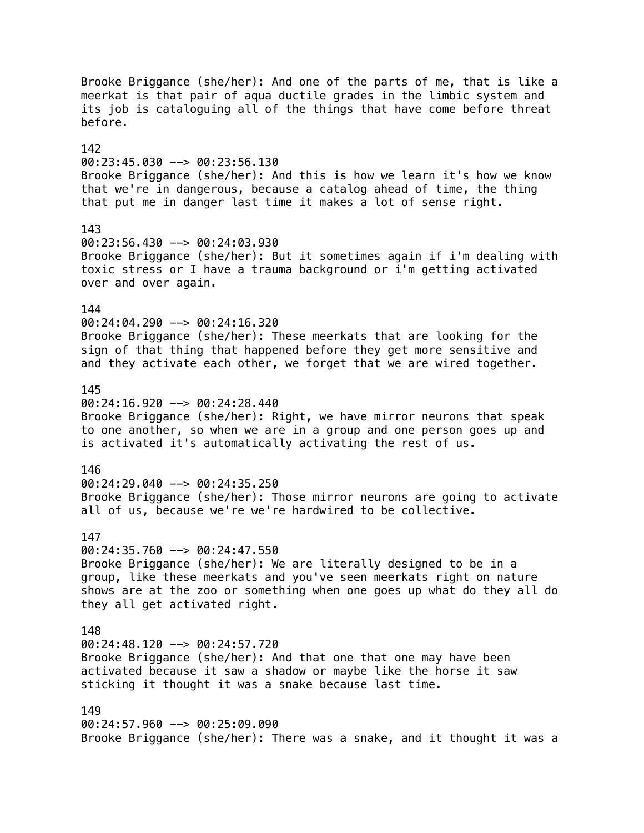Brooke Briggance (she/her): And one of the parts of me, that is like a meerkat is that pair of aqua ductile grades in the limbic system and its job is cataloguing all of the things that have come before threat before. 142 00:23:45.030 --> 00:23:56.130 Brooke Briggance (she/her): And this is how we learn it's how we know that we're in dangerous, because a catalog ahead of time, the thing that put me in danger last time it makes a lot of sense right. 143 00:23:56.430 --> 00:24:03.930 Brooke Briggance (she/her): But it sometimes again if i'm dealing with toxic stress or I have a trauma background or i'm getting activated over and over again. 144 00:24:04.290 --> 00:24:16.320 Brooke Briggance (she/her): These meerkats that are looking for the sign of that thing that happened before they get more sensitive and and they activate each other, we forget that we are wired together. 145  $00:24:16.920$  -->  $00:24:28.440$ Brooke Briggance (she/her): Right, we have mirror neurons that speak to one another, so when we are in a group and one person goes up and is activated it's automatically activating the rest of us. 146 00:24:29.040 --> 00:24:35.250 Brooke Briggance (she/her): Those mirror neurons are going to activate all of us, because we're we're hardwired to be collective. 147 00:24:35.760 --> 00:24:47.550 Brooke Briggance (she/her): We are literally designed to be in a group, like these meerkats and you've seen meerkats right on nature shows are at the zoo or something when one goes up what do they all do they all get activated right. 148  $00:24:48.120$  -->  $00:24:57.720$ Brooke Briggance (she/her): And that one that one may have been activated because it saw a shadow or maybe like the horse it saw sticking it thought it was a snake because last time. 149 00:24:57.960 --> 00:25:09.090 Brooke Briggance (she/her): There was a snake, and it thought it was a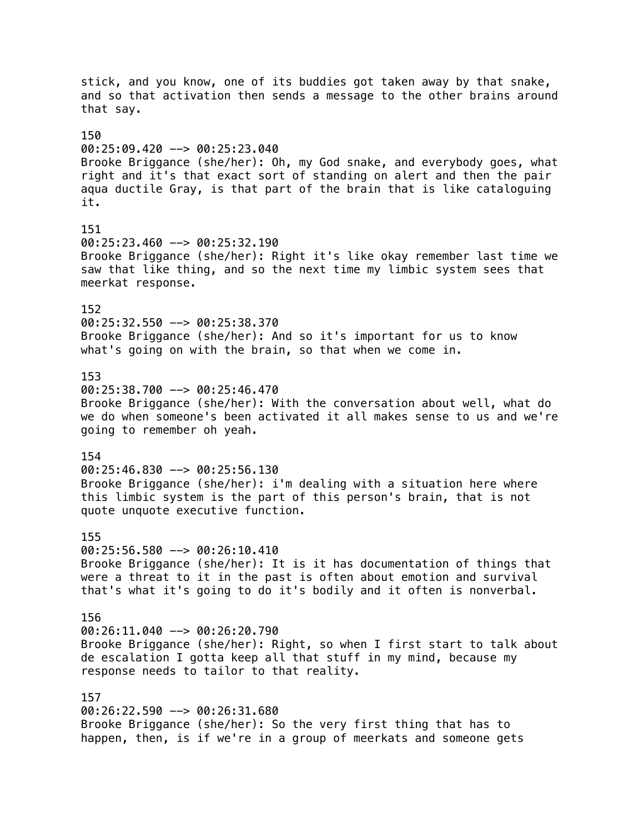stick, and you know, one of its buddies got taken away by that snake, and so that activation then sends a message to the other brains around that say. 150 00:25:09.420 --> 00:25:23.040 Brooke Briggance (she/her): Oh, my God snake, and everybody goes, what right and it's that exact sort of standing on alert and then the pair aqua ductile Gray, is that part of the brain that is like cataloguing it. 151 00:25:23.460 --> 00:25:32.190 Brooke Briggance (she/her): Right it's like okay remember last time we saw that like thing, and so the next time my limbic system sees that meerkat response. 152 00:25:32.550 --> 00:25:38.370 Brooke Briggance (she/her): And so it's important for us to know what's going on with the brain, so that when we come in. 153 00:25:38.700 --> 00:25:46.470 Brooke Briggance (she/her): With the conversation about well, what do we do when someone's been activated it all makes sense to us and we're going to remember oh yeah. 154 00:25:46.830 --> 00:25:56.130 Brooke Briggance (she/her): i'm dealing with a situation here where this limbic system is the part of this person's brain, that is not quote unquote executive function. 155 00:25:56.580 --> 00:26:10.410 Brooke Briggance (she/her): It is it has documentation of things that were a threat to it in the past is often about emotion and survival that's what it's going to do it's bodily and it often is nonverbal. 156 00:26:11.040 --> 00:26:20.790 Brooke Briggance (she/her): Right, so when I first start to talk about de escalation I gotta keep all that stuff in my mind, because my response needs to tailor to that reality. 157 00:26:22.590 --> 00:26:31.680 Brooke Briggance (she/her): So the very first thing that has to happen, then, is if we're in a group of meerkats and someone gets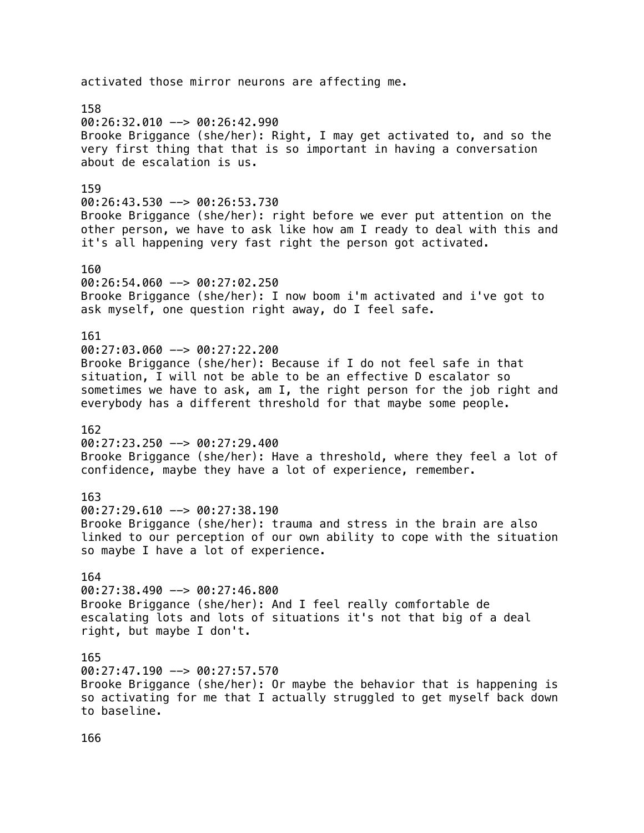activated those mirror neurons are affecting me. 158 00:26:32.010 --> 00:26:42.990 Brooke Briggance (she/her): Right, I may get activated to, and so the very first thing that that is so important in having a conversation about de escalation is us. 159 00:26:43.530 --> 00:26:53.730 Brooke Briggance (she/her): right before we ever put attention on the other person, we have to ask like how am I ready to deal with this and it's all happening very fast right the person got activated. 160 00:26:54.060 --> 00:27:02.250 Brooke Briggance (she/her): I now boom i'm activated and i've got to ask myself, one question right away, do I feel safe. 161 00:27:03.060 --> 00:27:22.200 Brooke Briggance (she/her): Because if I do not feel safe in that situation, I will not be able to be an effective D escalator so sometimes we have to ask, am I, the right person for the job right and everybody has a different threshold for that maybe some people. 162 00:27:23.250 --> 00:27:29.400 Brooke Briggance (she/her): Have a threshold, where they feel a lot of confidence, maybe they have a lot of experience, remember. 163  $00:27:29.610$  -->  $00:27:38.190$ Brooke Briggance (she/her): trauma and stress in the brain are also linked to our perception of our own ability to cope with the situation so maybe I have a lot of experience. 164 00:27:38.490 --> 00:27:46.800 Brooke Briggance (she/her): And I feel really comfortable de escalating lots and lots of situations it's not that big of a deal right, but maybe I don't. 165 00:27:47.190 --> 00:27:57.570 Brooke Briggance (she/her): Or maybe the behavior that is happening is so activating for me that I actually struggled to get myself back down to baseline.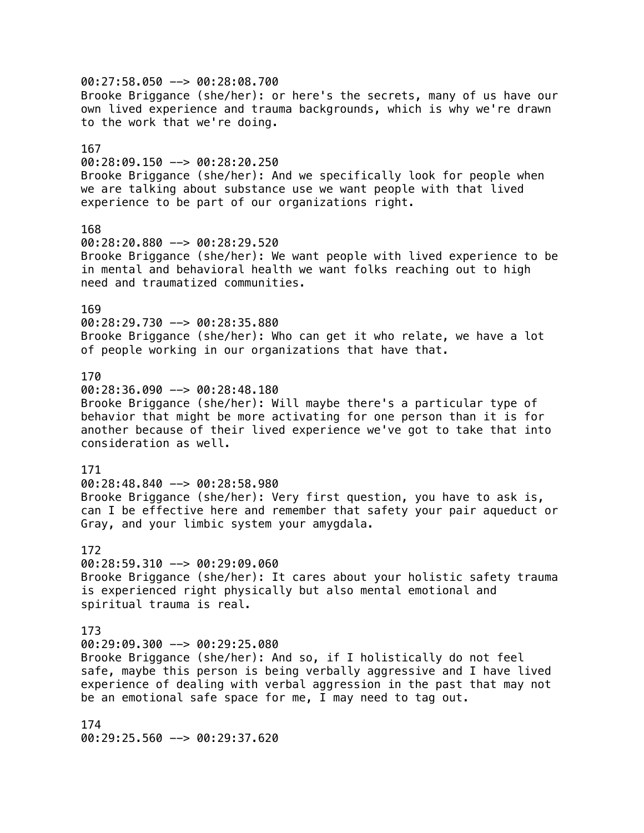00:27:58.050 --> 00:28:08.700 Brooke Briggance (she/her): or here's the secrets, many of us have our own lived experience and trauma backgrounds, which is why we're drawn to the work that we're doing. 167 00:28:09.150 --> 00:28:20.250 Brooke Briggance (she/her): And we specifically look for people when we are talking about substance use we want people with that lived experience to be part of our organizations right. 168 00:28:20.880 --> 00:28:29.520 Brooke Briggance (she/her): We want people with lived experience to be in mental and behavioral health we want folks reaching out to high need and traumatized communities. 169 00:28:29.730 --> 00:28:35.880 Brooke Briggance (she/her): Who can get it who relate, we have a lot of people working in our organizations that have that. 170 00:28:36.090 --> 00:28:48.180 Brooke Briggance (she/her): Will maybe there's a particular type of behavior that might be more activating for one person than it is for another because of their lived experience we've got to take that into consideration as well. 171 00:28:48.840 --> 00:28:58.980 Brooke Briggance (she/her): Very first question, you have to ask is, can I be effective here and remember that safety your pair aqueduct or Gray, and your limbic system your amygdala. 172  $00:28:59.310$  -->  $00:29:09.060$ Brooke Briggance (she/her): It cares about your holistic safety trauma is experienced right physically but also mental emotional and spiritual trauma is real. 173 00:29:09.300 --> 00:29:25.080 Brooke Briggance (she/her): And so, if I holistically do not feel safe, maybe this person is being verbally aggressive and I have lived experience of dealing with verbal aggression in the past that may not be an emotional safe space for me, I may need to tag out. 174

00:29:25.560 --> 00:29:37.620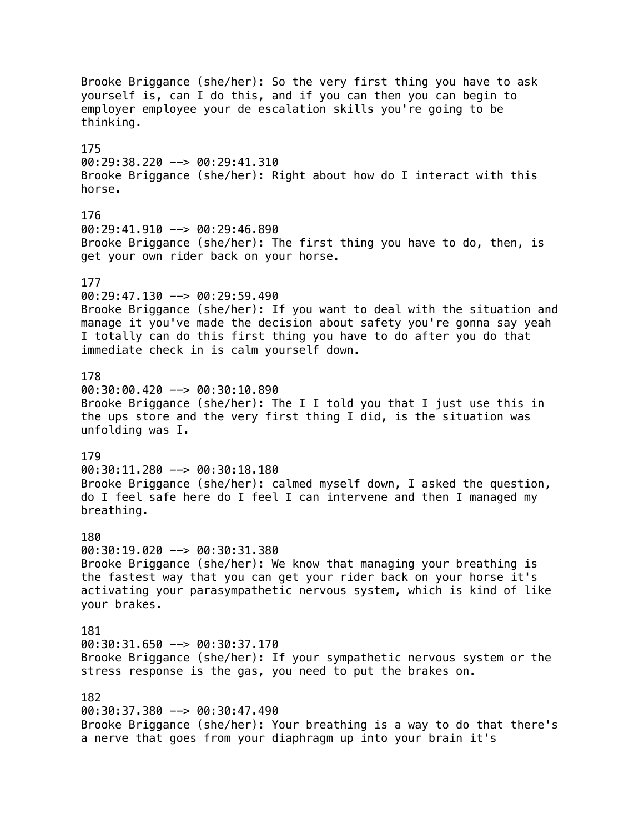Brooke Briggance (she/her): So the very first thing you have to ask yourself is, can I do this, and if you can then you can begin to employer employee your de escalation skills you're going to be thinking. 175 00:29:38.220 --> 00:29:41.310 Brooke Briggance (she/her): Right about how do I interact with this horse. 176 00:29:41.910 --> 00:29:46.890 Brooke Briggance (she/her): The first thing you have to do, then, is get your own rider back on your horse. 177 00:29:47.130 --> 00:29:59.490 Brooke Briggance (she/her): If you want to deal with the situation and manage it you've made the decision about safety you're gonna say yeah I totally can do this first thing you have to do after you do that immediate check in is calm yourself down. 178 00:30:00.420 --> 00:30:10.890 Brooke Briggance (she/her): The I I told you that I just use this in the ups store and the very first thing I did, is the situation was unfolding was I. 179 00:30:11.280 --> 00:30:18.180 Brooke Briggance (she/her): calmed myself down, I asked the question, do I feel safe here do I feel I can intervene and then I managed my breathing. 180 00:30:19.020 --> 00:30:31.380 Brooke Briggance (she/her): We know that managing your breathing is the fastest way that you can get your rider back on your horse it's activating your parasympathetic nervous system, which is kind of like your brakes. 181  $00:30:31.650$  -->  $00:30:37.170$ Brooke Briggance (she/her): If your sympathetic nervous system or the stress response is the gas, you need to put the brakes on. 182 00:30:37.380 --> 00:30:47.490 Brooke Briggance (she/her): Your breathing is a way to do that there's a nerve that goes from your diaphragm up into your brain it's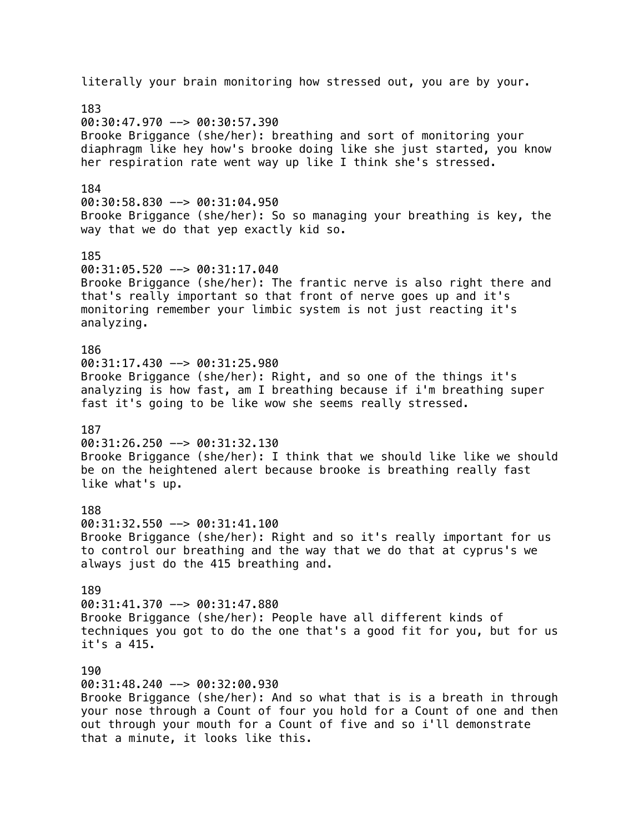literally your brain monitoring how stressed out, you are by your. 183 00:30:47.970 --> 00:30:57.390 Brooke Briggance (she/her): breathing and sort of monitoring your diaphragm like hey how's brooke doing like she just started, you know her respiration rate went way up like I think she's stressed. 184 00:30:58.830 --> 00:31:04.950 Brooke Briggance (she/her): So so managing your breathing is key, the way that we do that yep exactly kid so. 185 00:31:05.520 --> 00:31:17.040 Brooke Briggance (she/her): The frantic nerve is also right there and that's really important so that front of nerve goes up and it's monitoring remember your limbic system is not just reacting it's analyzing. 186 00:31:17.430 --> 00:31:25.980 Brooke Briggance (she/her): Right, and so one of the things it's analyzing is how fast, am I breathing because if i'm breathing super fast it's going to be like wow she seems really stressed. 187 00:31:26.250 --> 00:31:32.130 Brooke Briggance (she/her): I think that we should like like we should be on the heightened alert because brooke is breathing really fast like what's up. 188 00:31:32.550 --> 00:31:41.100 Brooke Briggance (she/her): Right and so it's really important for us to control our breathing and the way that we do that at cyprus's we always just do the 415 breathing and. 189 00:31:41.370 --> 00:31:47.880 Brooke Briggance (she/her): People have all different kinds of techniques you got to do the one that's a good fit for you, but for us it's a 415. 190 00:31:48.240 --> 00:32:00.930 Brooke Briggance (she/her): And so what that is is a breath in through your nose through a Count of four you hold for a Count of one and then out through your mouth for a Count of five and so i'll demonstrate that a minute, it looks like this.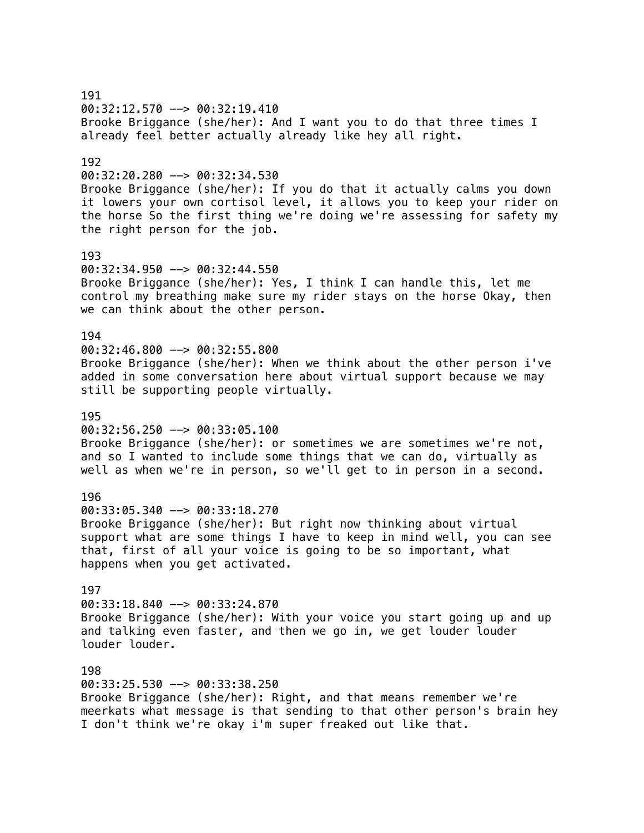# 191 00:32:12.570 --> 00:32:19.410 Brooke Briggance (she/her): And I want you to do that three times I already feel better actually already like hey all right. 192  $00:32:20.280$  -->  $00:32:34.530$ Brooke Briggance (she/her): If you do that it actually calms you down it lowers your own cortisol level, it allows you to keep your rider on the horse So the first thing we're doing we're assessing for safety my the right person for the job. 193 00:32:34.950 --> 00:32:44.550 Brooke Briggance (she/her): Yes, I think I can handle this, let me control my breathing make sure my rider stays on the horse Okay, then we can think about the other person. 194 00:32:46.800 --> 00:32:55.800 Brooke Briggance (she/her): When we think about the other person i've added in some conversation here about virtual support because we may still be supporting people virtually. 195 00:32:56.250 --> 00:33:05.100 Brooke Briggance (she/her): or sometimes we are sometimes we're not, and so I wanted to include some things that we can do, virtually as well as when we're in person, so we'll get to in person in a second. 196 00:33:05.340 --> 00:33:18.270 Brooke Briggance (she/her): But right now thinking about virtual support what are some things I have to keep in mind well, you can see that, first of all your voice is going to be so important, what happens when you get activated. 197 00:33:18.840 --> 00:33:24.870 Brooke Briggance (she/her): With your voice you start going up and up and talking even faster, and then we go in, we get louder louder louder louder. 198 00:33:25.530 --> 00:33:38.250 Brooke Briggance (she/her): Right, and that means remember we're meerkats what message is that sending to that other person's brain hey

I don't think we're okay i'm super freaked out like that.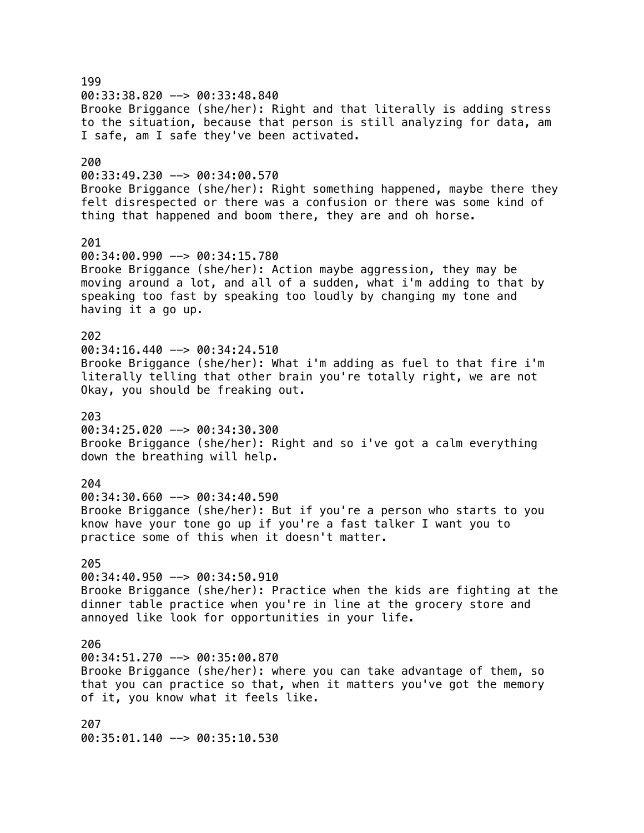199  $00:33:38.820$  -->  $00:33:48.840$ Brooke Briggance (she/her): Right and that literally is adding stress to the situation, because that person is still analyzing for data, am I safe, am I safe they've been activated. 200 00:33:49.230 --> 00:34:00.570 Brooke Briggance (she/her): Right something happened, maybe there they felt disrespected or there was a confusion or there was some kind of thing that happened and boom there, they are and oh horse. 201 00:34:00.990 --> 00:34:15.780 Brooke Briggance (she/her): Action maybe aggression, they may be moving around a lot, and all of a sudden, what i'm adding to that by speaking too fast by speaking too loudly by changing my tone and having it a go up. 202  $00:34:16.440$  -->  $00:34:24.510$ Brooke Briggance (she/her): What i'm adding as fuel to that fire i'm literally telling that other brain you're totally right, we are not Okay, you should be freaking out. 203 00:34:25.020 --> 00:34:30.300 Brooke Briggance (she/her): Right and so i've got a calm everything down the breathing will help. 204 00:34:30.660 --> 00:34:40.590 Brooke Briggance (she/her): But if you're a person who starts to you know have your tone go up if you're a fast talker I want you to practice some of this when it doesn't matter. 205 00:34:40.950 --> 00:34:50.910 Brooke Briggance (she/her): Practice when the kids are fighting at the dinner table practice when you're in line at the grocery store and annoyed like look for opportunities in your life. 206 00:34:51.270 --> 00:35:00.870 Brooke Briggance (she/her): where you can take advantage of them, so that you can practice so that, when it matters you've got the memory of it, you know what it feels like. 207 00:35:01.140 --> 00:35:10.530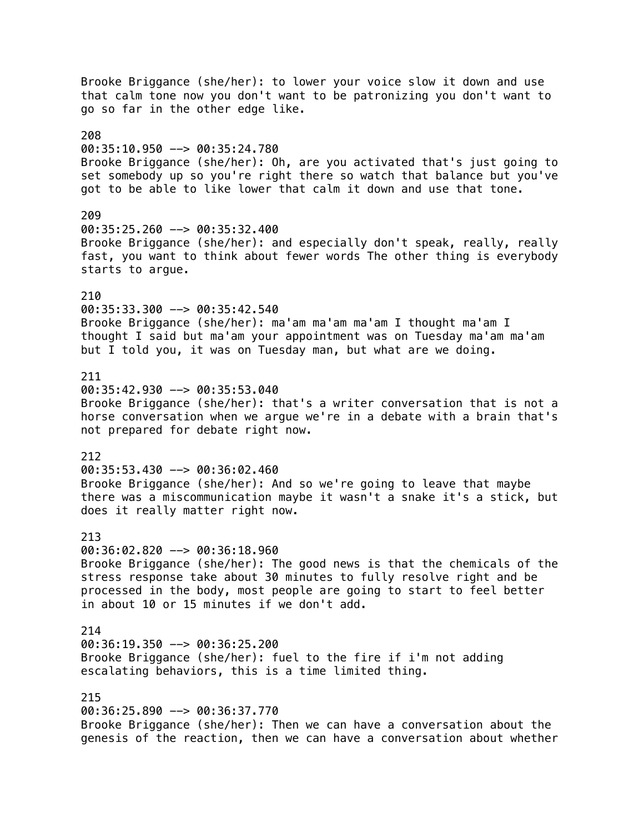Brooke Briggance (she/her): to lower your voice slow it down and use that calm tone now you don't want to be patronizing you don't want to go so far in the other edge like. 208 00:35:10.950 --> 00:35:24.780 Brooke Briggance (she/her): Oh, are you activated that's just going to set somebody up so you're right there so watch that balance but you've got to be able to like lower that calm it down and use that tone. 209 00:35:25.260 --> 00:35:32.400 Brooke Briggance (she/her): and especially don't speak, really, really fast, you want to think about fewer words The other thing is everybody starts to argue. 210 00:35:33.300 --> 00:35:42.540 Brooke Briggance (she/her): ma'am ma'am ma'am I thought ma'am I thought I said but ma'am your appointment was on Tuesday ma'am ma'am but I told you, it was on Tuesday man, but what are we doing. 211 00:35:42.930 --> 00:35:53.040 Brooke Briggance (she/her): that's a writer conversation that is not a horse conversation when we argue we're in a debate with a brain that's not prepared for debate right now. 212 00:35:53.430 --> 00:36:02.460 Brooke Briggance (she/her): And so we're going to leave that maybe there was a miscommunication maybe it wasn't a snake it's a stick, but does it really matter right now. 213 00:36:02.820 --> 00:36:18.960 Brooke Briggance (she/her): The good news is that the chemicals of the stress response take about 30 minutes to fully resolve right and be processed in the body, most people are going to start to feel better in about 10 or 15 minutes if we don't add. 214  $00:36:19.350$  -->  $00:36:25.200$ Brooke Briggance (she/her): fuel to the fire if i'm not adding escalating behaviors, this is a time limited thing. 215 00:36:25.890 --> 00:36:37.770 Brooke Briggance (she/her): Then we can have a conversation about the genesis of the reaction, then we can have a conversation about whether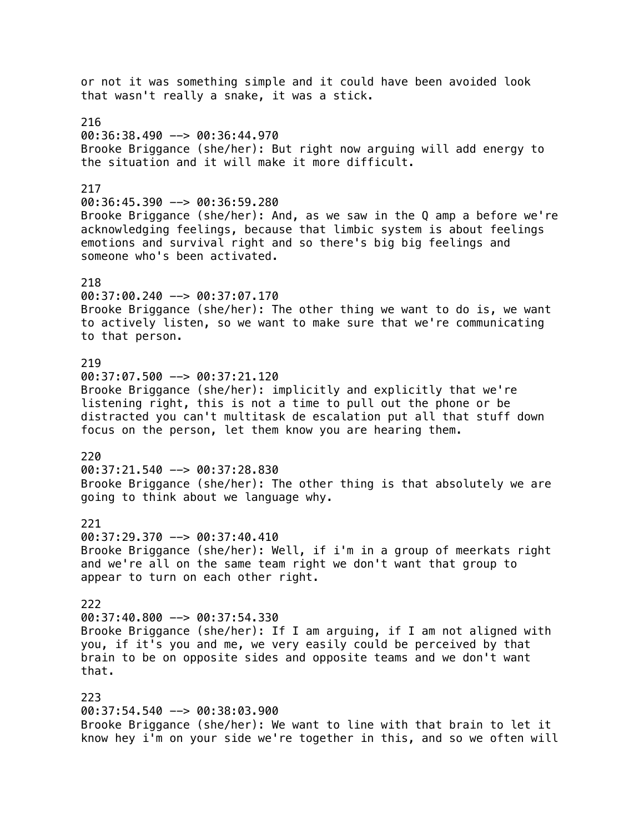or not it was something simple and it could have been avoided look that wasn't really a snake, it was a stick. 216 00:36:38.490 --> 00:36:44.970 Brooke Briggance (she/her): But right now arguing will add energy to the situation and it will make it more difficult. 217 00:36:45.390 --> 00:36:59.280 Brooke Briggance (she/her): And, as we saw in the Q amp a before we're acknowledging feelings, because that limbic system is about feelings emotions and survival right and so there's big big feelings and someone who's been activated. 218 00:37:00.240 --> 00:37:07.170 Brooke Briggance (she/her): The other thing we want to do is, we want to actively listen, so we want to make sure that we're communicating to that person. 219 00:37:07.500 --> 00:37:21.120 Brooke Briggance (she/her): implicitly and explicitly that we're listening right, this is not a time to pull out the phone or be distracted you can't multitask de escalation put all that stuff down focus on the person, let them know you are hearing them. 220 00:37:21.540 --> 00:37:28.830 Brooke Briggance (she/her): The other thing is that absolutely we are going to think about we language why. 221 00:37:29.370 --> 00:37:40.410 Brooke Briggance (she/her): Well, if i'm in a group of meerkats right and we're all on the same team right we don't want that group to appear to turn on each other right. 222 00:37:40.800 --> 00:37:54.330 Brooke Briggance (she/her): If I am arguing, if I am not aligned with you, if it's you and me, we very easily could be perceived by that brain to be on opposite sides and opposite teams and we don't want that. 223 00:37:54.540 --> 00:38:03.900 Brooke Briggance (she/her): We want to line with that brain to let it know hey i'm on your side we're together in this, and so we often will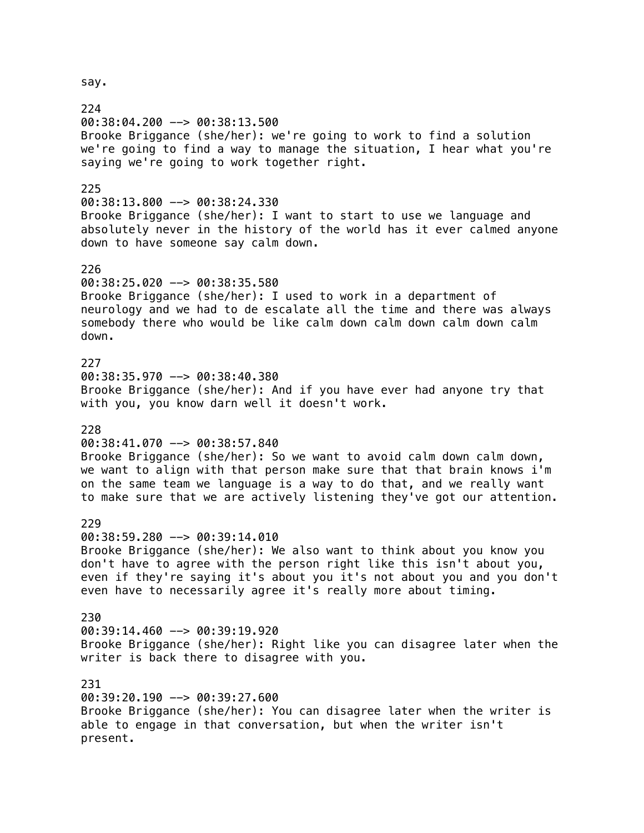224 00:38:04.200 --> 00:38:13.500 Brooke Briggance (she/her): we're going to work to find a solution we're going to find a way to manage the situation, I hear what you're saying we're going to work together right. 225 00:38:13.800 --> 00:38:24.330 Brooke Briggance (she/her): I want to start to use we language and absolutely never in the history of the world has it ever calmed anyone down to have someone say calm down. 226 00:38:25.020 --> 00:38:35.580 Brooke Briggance (she/her): I used to work in a department of neurology and we had to de escalate all the time and there was always somebody there who would be like calm down calm down calm down calm down. 227 00:38:35.970 --> 00:38:40.380 Brooke Briggance (she/her): And if you have ever had anyone try that with you, you know darn well it doesn't work. 228 00:38:41.070 --> 00:38:57.840 Brooke Briggance (she/her): So we want to avoid calm down calm down, we want to align with that person make sure that that brain knows i'm on the same team we language is a way to do that, and we really want to make sure that we are actively listening they've got our attention. 229 00:38:59.280 --> 00:39:14.010 Brooke Briggance (she/her): We also want to think about you know you don't have to agree with the person right like this isn't about you, even if they're saying it's about you it's not about you and you don't even have to necessarily agree it's really more about timing. 230 00:39:14.460 --> 00:39:19.920 Brooke Briggance (she/her): Right like you can disagree later when the writer is back there to disagree with you. 231 00:39:20.190 --> 00:39:27.600

Brooke Briggance (she/her): You can disagree later when the writer is able to engage in that conversation, but when the writer isn't present.

say.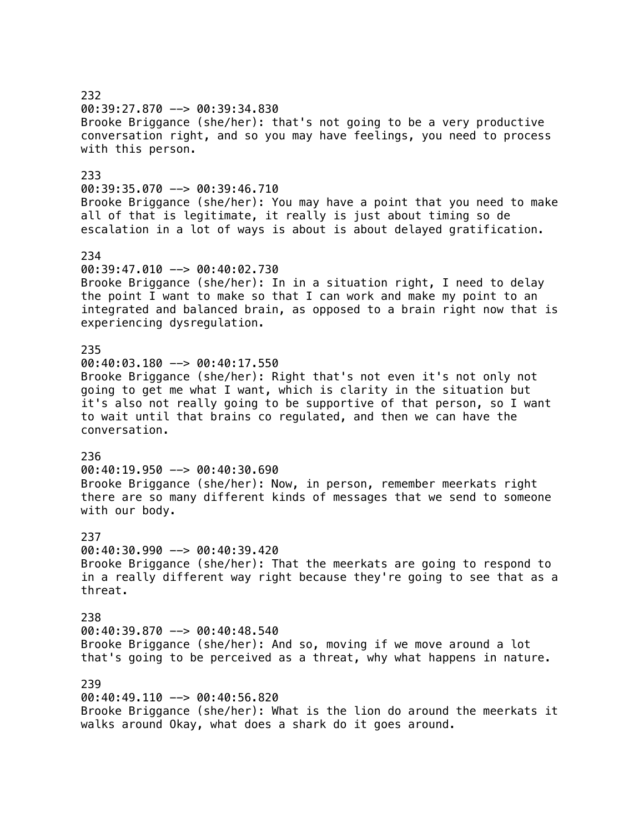232 00:39:27.870 --> 00:39:34.830 Brooke Briggance (she/her): that's not going to be a very productive conversation right, and so you may have feelings, you need to process with this person. 233 00:39:35.070 --> 00:39:46.710 Brooke Briggance (she/her): You may have a point that you need to make all of that is legitimate, it really is just about timing so de escalation in a lot of ways is about is about delayed gratification. 234 00:39:47.010 --> 00:40:02.730 Brooke Briggance (she/her): In in a situation right, I need to delay the point I want to make so that I can work and make my point to an integrated and balanced brain, as opposed to a brain right now that is experiencing dysregulation. 235 00:40:03.180 --> 00:40:17.550 Brooke Briggance (she/her): Right that's not even it's not only not going to get me what I want, which is clarity in the situation but it's also not really going to be supportive of that person, so I want to wait until that brains co regulated, and then we can have the conversation. 236 00:40:19.950 --> 00:40:30.690 Brooke Briggance (she/her): Now, in person, remember meerkats right there are so many different kinds of messages that we send to someone with our body. 237 00:40:30.990 --> 00:40:39.420 Brooke Briggance (she/her): That the meerkats are going to respond to in a really different way right because they're going to see that as a threat. 238 00:40:39.870 --> 00:40:48.540 Brooke Briggance (she/her): And so, moving if we move around a lot that's going to be perceived as a threat, why what happens in nature. 239 00:40:49.110 --> 00:40:56.820

Brooke Briggance (she/her): What is the lion do around the meerkats it walks around Okay, what does a shark do it goes around.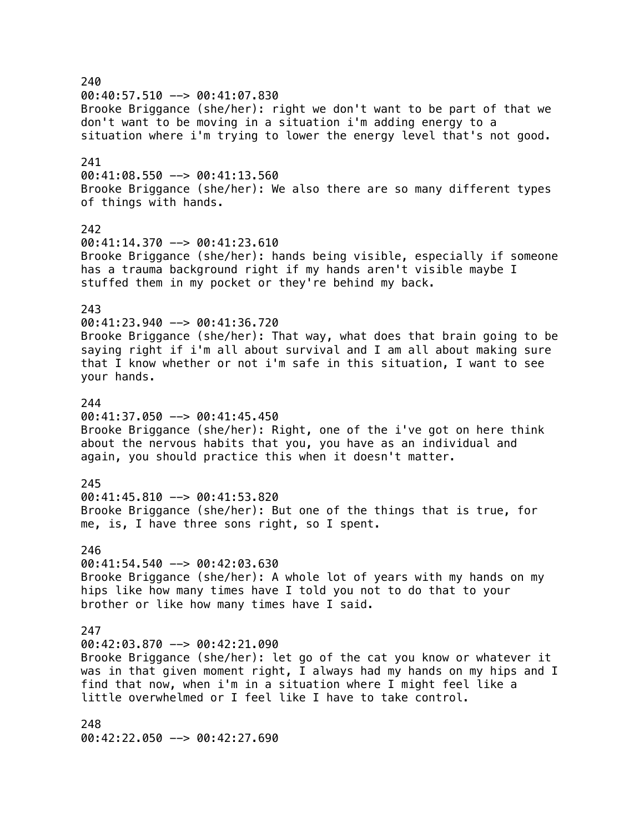240  $00:40:57.510$  -->  $00:41:07.830$ Brooke Briggance (she/her): right we don't want to be part of that we don't want to be moving in a situation i'm adding energy to a situation where i'm trying to lower the energy level that's not good. 241  $00:41:08.550$  -->  $00:41:13.560$ Brooke Briggance (she/her): We also there are so many different types of things with hands. 242 00:41:14.370 --> 00:41:23.610 Brooke Briggance (she/her): hands being visible, especially if someone has a trauma background right if my hands aren't visible maybe I stuffed them in my pocket or they're behind my back. 243 00:41:23.940 --> 00:41:36.720 Brooke Briggance (she/her): That way, what does that brain going to be saying right if i'm all about survival and I am all about making sure that I know whether or not i'm safe in this situation, I want to see your hands.  $744$ 00:41:37.050 --> 00:41:45.450 Brooke Briggance (she/her): Right, one of the i've got on here think about the nervous habits that you, you have as an individual and again, you should practice this when it doesn't matter. 245 00:41:45.810 --> 00:41:53.820 Brooke Briggance (she/her): But one of the things that is true, for me, is, I have three sons right, so I spent. 246  $00:41:54.540$  -->  $00:42:03.630$ Brooke Briggance (she/her): A whole lot of years with my hands on my hips like how many times have I told you not to do that to your brother or like how many times have I said. 247  $00:42:03.870$  -->  $00:42:21.090$ Brooke Briggance (she/her): let go of the cat you know or whatever it was in that given moment right, I always had my hands on my hips and I find that now, when i'm in a situation where I might feel like a little overwhelmed or I feel like I have to take control. 248 00:42:22.050 --> 00:42:27.690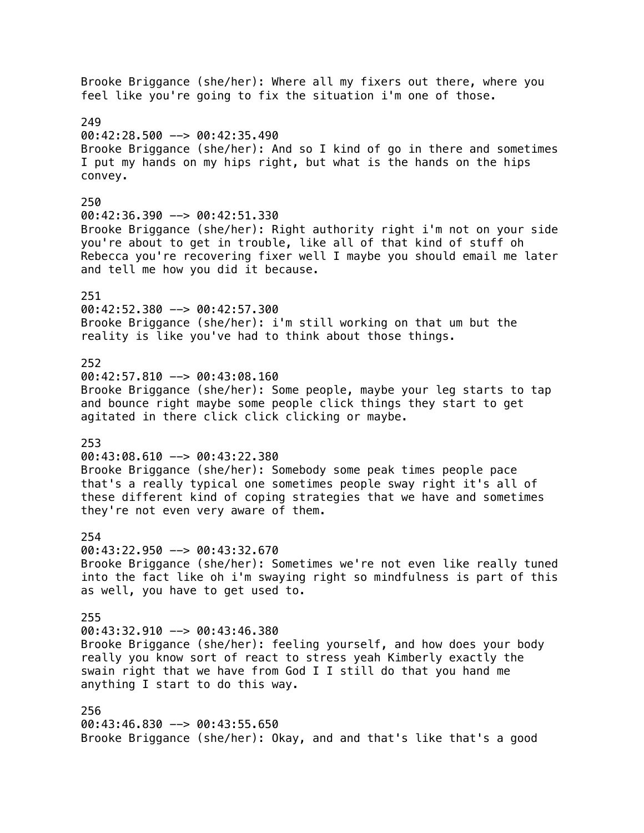Brooke Briggance (she/her): Where all my fixers out there, where you feel like you're going to fix the situation i'm one of those. 249 00:42:28.500 --> 00:42:35.490 Brooke Briggance (she/her): And so I kind of go in there and sometimes I put my hands on my hips right, but what is the hands on the hips convey. 250 00:42:36.390 --> 00:42:51.330 Brooke Briggance (she/her): Right authority right i'm not on your side you're about to get in trouble, like all of that kind of stuff oh Rebecca you're recovering fixer well I maybe you should email me later and tell me how you did it because. 251 00:42:52.380 --> 00:42:57.300 Brooke Briggance (she/her): i'm still working on that um but the reality is like you've had to think about those things. 252 00:42:57.810 --> 00:43:08.160 Brooke Briggance (she/her): Some people, maybe your leg starts to tap and bounce right maybe some people click things they start to get agitated in there click click clicking or maybe. 253 00:43:08.610 --> 00:43:22.380 Brooke Briggance (she/her): Somebody some peak times people pace that's a really typical one sometimes people sway right it's all of these different kind of coping strategies that we have and sometimes they're not even very aware of them. 254 00:43:22.950 --> 00:43:32.670 Brooke Briggance (she/her): Sometimes we're not even like really tuned into the fact like oh i'm swaying right so mindfulness is part of this as well, you have to get used to. 255 00:43:32.910 --> 00:43:46.380 Brooke Briggance (she/her): feeling yourself, and how does your body really you know sort of react to stress yeah Kimberly exactly the swain right that we have from God I I still do that you hand me anything I start to do this way. 256 00:43:46.830 --> 00:43:55.650 Brooke Briggance (she/her): Okay, and and that's like that's a good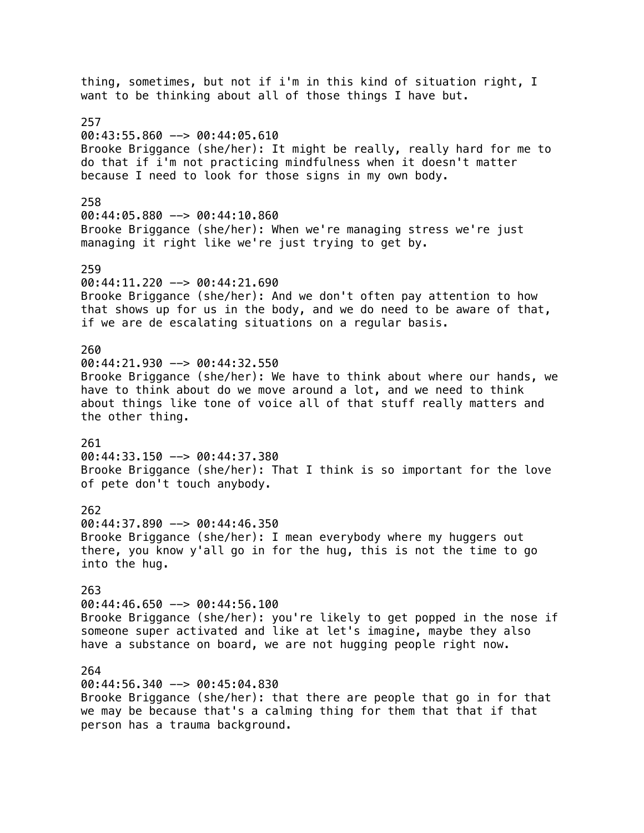thing, sometimes, but not if i'm in this kind of situation right, I want to be thinking about all of those things I have but. 257 00:43:55.860 --> 00:44:05.610 Brooke Briggance (she/her): It might be really, really hard for me to do that if i'm not practicing mindfulness when it doesn't matter because I need to look for those signs in my own body. 258 00:44:05.880 --> 00:44:10.860 Brooke Briggance (she/her): When we're managing stress we're just managing it right like we're just trying to get by. 259 00:44:11.220 --> 00:44:21.690 Brooke Briggance (she/her): And we don't often pay attention to how that shows up for us in the body, and we do need to be aware of that, if we are de escalating situations on a regular basis. 260  $00:44:21.930$  -->  $00:44:32.550$ Brooke Briggance (she/her): We have to think about where our hands, we have to think about do we move around a lot, and we need to think about things like tone of voice all of that stuff really matters and the other thing. 261 00:44:33.150 --> 00:44:37.380 Brooke Briggance (she/her): That I think is so important for the love of pete don't touch anybody. 262 00:44:37.890 --> 00:44:46.350 Brooke Briggance (she/her): I mean everybody where my huggers out there, you know y'all go in for the hug, this is not the time to go into the hug. 263  $00:44:46.650$  -->  $00:44:56.100$ Brooke Briggance (she/her): you're likely to get popped in the nose if someone super activated and like at let's imagine, maybe they also have a substance on board, we are not hugging people right now. 264 00:44:56.340 --> 00:45:04.830 Brooke Briggance (she/her): that there are people that go in for that we may be because that's a calming thing for them that that if that person has a trauma background.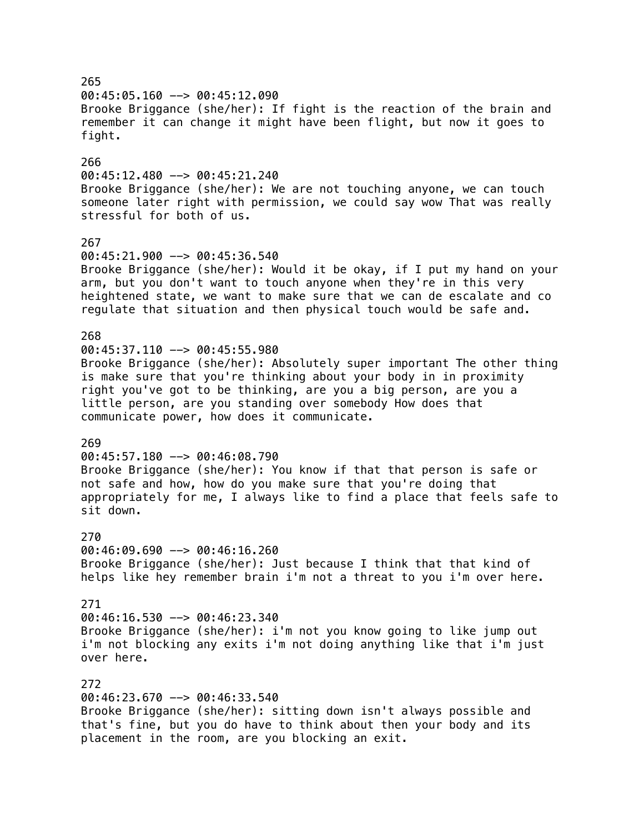265  $00:45:05.160$  -->  $00:45:12.090$ Brooke Briggance (she/her): If fight is the reaction of the brain and remember it can change it might have been flight, but now it goes to fight. 266 00:45:12.480 --> 00:45:21.240 Brooke Briggance (she/her): We are not touching anyone, we can touch someone later right with permission, we could say wow That was really stressful for both of us. 267 00:45:21.900 --> 00:45:36.540 Brooke Briggance (she/her): Would it be okay, if I put my hand on your arm, but you don't want to touch anyone when they're in this very heightened state, we want to make sure that we can de escalate and co regulate that situation and then physical touch would be safe and. 268 00:45:37.110 --> 00:45:55.980 Brooke Briggance (she/her): Absolutely super important The other thing is make sure that you're thinking about your body in in proximity right you've got to be thinking, are you a big person, are you a little person, are you standing over somebody How does that communicate power, how does it communicate. 269 00:45:57.180 --> 00:46:08.790 Brooke Briggance (she/her): You know if that that person is safe or not safe and how, how do you make sure that you're doing that appropriately for me, I always like to find a place that feels safe to sit down. 270 00:46:09.690 --> 00:46:16.260 Brooke Briggance (she/her): Just because I think that that kind of helps like hey remember brain i'm not a threat to you i'm over here. 271 00:46:16.530 --> 00:46:23.340 Brooke Briggance (she/her): i'm not you know going to like jump out i'm not blocking any exits i'm not doing anything like that i'm just over here. 272 00:46:23.670 --> 00:46:33.540 Brooke Briggance (she/her): sitting down isn't always possible and that's fine, but you do have to think about then your body and its

placement in the room, are you blocking an exit.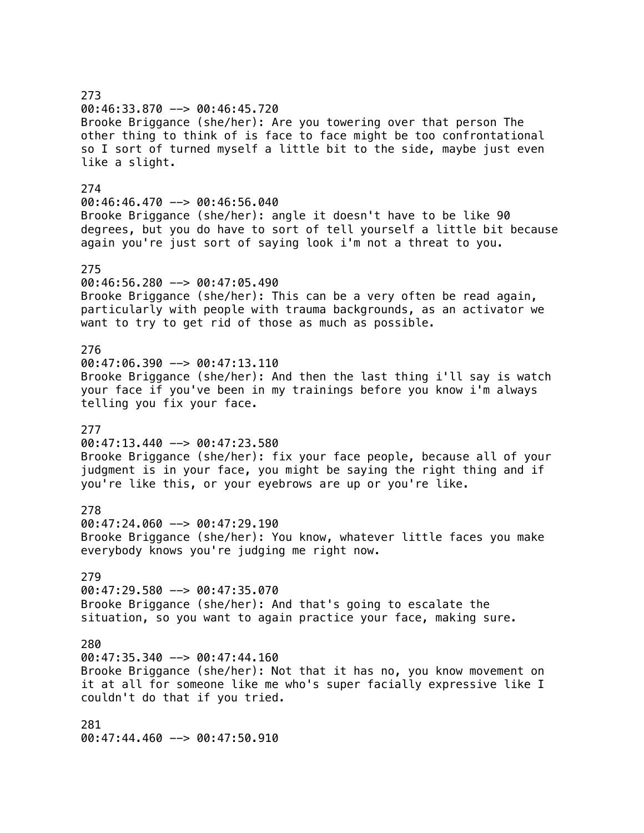# 273 00:46:33.870 --> 00:46:45.720 Brooke Briggance (she/her): Are you towering over that person The other thing to think of is face to face might be too confrontational so I sort of turned myself a little bit to the side, maybe just even like a slight. 274 00:46:46.470 --> 00:46:56.040 Brooke Briggance (she/her): angle it doesn't have to be like 90 degrees, but you do have to sort of tell yourself a little bit because again you're just sort of saying look i'm not a threat to you. 275 00:46:56.280 --> 00:47:05.490 Brooke Briggance (she/her): This can be a very often be read again, particularly with people with trauma backgrounds, as an activator we want to try to get rid of those as much as possible. 276  $00:47:06.390$  -->  $00:47:13.110$ Brooke Briggance (she/her): And then the last thing i'll say is watch your face if you've been in my trainings before you know i'm always telling you fix your face. 277  $00:47:13.440$  -->  $00:47:23.580$ Brooke Briggance (she/her): fix your face people, because all of your judgment is in your face, you might be saying the right thing and if you're like this, or your eyebrows are up or you're like. 278 00:47:24.060 --> 00:47:29.190 Brooke Briggance (she/her): You know, whatever little faces you make everybody knows you're judging me right now. 279 00:47:29.580 --> 00:47:35.070 Brooke Briggance (she/her): And that's going to escalate the situation, so you want to again practice your face, making sure. 280  $00:47:35.340$  -->  $00:47:44.160$ Brooke Briggance (she/her): Not that it has no, you know movement on it at all for someone like me who's super facially expressive like I couldn't do that if you tried. 281 00:47:44.460 --> 00:47:50.910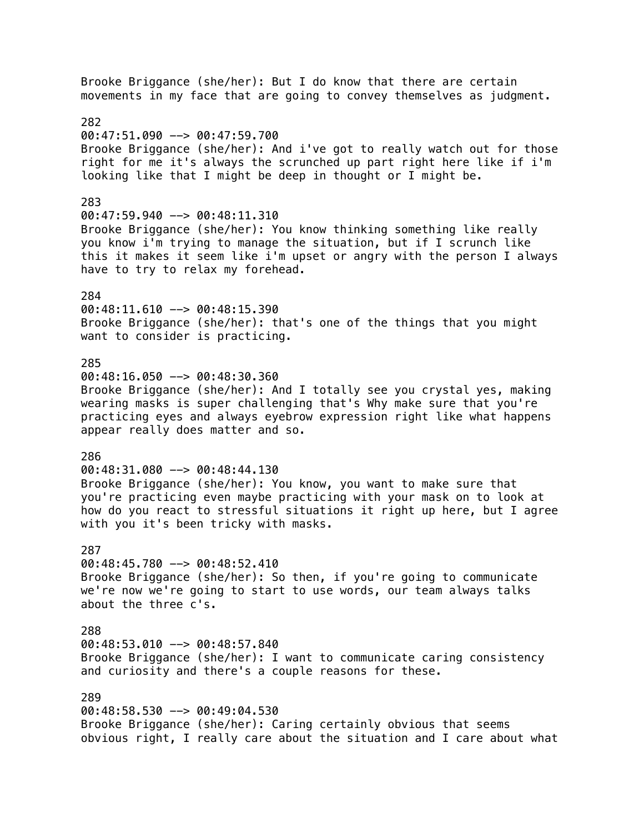Brooke Briggance (she/her): But I do know that there are certain movements in my face that are going to convey themselves as judgment. 282 00:47:51.090 --> 00:47:59.700 Brooke Briggance (she/her): And i've got to really watch out for those right for me it's always the scrunched up part right here like if i'm looking like that I might be deep in thought or I might be. 283 00:47:59.940 --> 00:48:11.310 Brooke Briggance (she/her): You know thinking something like really you know i'm trying to manage the situation, but if I scrunch like this it makes it seem like i'm upset or angry with the person I always have to try to relax my forehead. 284 00:48:11.610 --> 00:48:15.390 Brooke Briggance (she/her): that's one of the things that you might want to consider is practicing. 285 00:48:16.050 --> 00:48:30.360 Brooke Briggance (she/her): And I totally see you crystal yes, making wearing masks is super challenging that's Why make sure that you're practicing eyes and always eyebrow expression right like what happens appear really does matter and so. 286 00:48:31.080 --> 00:48:44.130 Brooke Briggance (she/her): You know, you want to make sure that you're practicing even maybe practicing with your mask on to look at how do you react to stressful situations it right up here, but I agree with you it's been tricky with masks. 287  $00:48:45.780$  -->  $00:48:52.410$ Brooke Briggance (she/her): So then, if you're going to communicate we're now we're going to start to use words, our team always talks about the three c's. 288 00:48:53.010 --> 00:48:57.840 Brooke Briggance (she/her): I want to communicate caring consistency and curiosity and there's a couple reasons for these. 289 00:48:58.530 --> 00:49:04.530 Brooke Briggance (she/her): Caring certainly obvious that seems obvious right, I really care about the situation and I care about what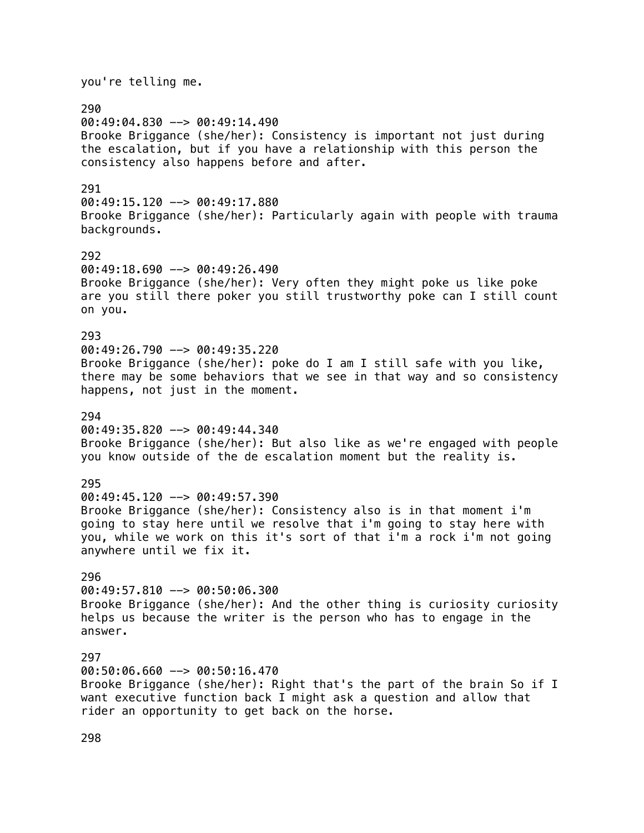you're telling me. 290 00:49:04.830 --> 00:49:14.490 Brooke Briggance (she/her): Consistency is important not just during the escalation, but if you have a relationship with this person the consistency also happens before and after. 291 00:49:15.120 --> 00:49:17.880 Brooke Briggance (she/her): Particularly again with people with trauma backgrounds. 292  $00:49:18.690$  -->  $00:49:26.490$ Brooke Briggance (she/her): Very often they might poke us like poke are you still there poker you still trustworthy poke can I still count on you. 293  $00:49:26.790$  -->  $00:49:35.220$ Brooke Briggance (she/her): poke do I am I still safe with you like, there may be some behaviors that we see in that way and so consistency happens, not just in the moment. 294 00:49:35.820 --> 00:49:44.340 Brooke Briggance (she/her): But also like as we're engaged with people you know outside of the de escalation moment but the reality is. 295 00:49:45.120 --> 00:49:57.390 Brooke Briggance (she/her): Consistency also is in that moment i'm going to stay here until we resolve that i'm going to stay here with you, while we work on this it's sort of that i'm a rock i'm not going anywhere until we fix it. 296 00:49:57.810 --> 00:50:06.300 Brooke Briggance (she/her): And the other thing is curiosity curiosity helps us because the writer is the person who has to engage in the answer. 297 00:50:06.660 --> 00:50:16.470 Brooke Briggance (she/her): Right that's the part of the brain So if I want executive function back I might ask a question and allow that rider an opportunity to get back on the horse.

298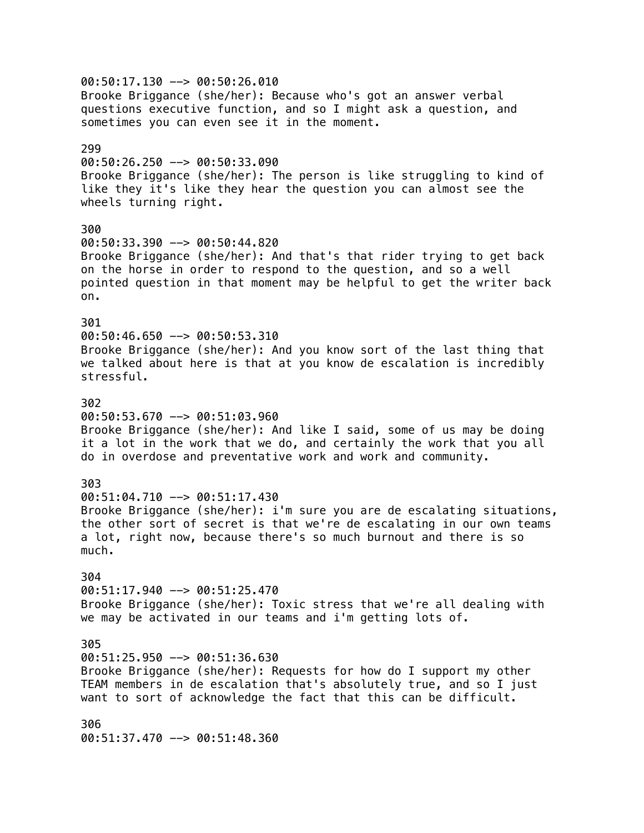00:50:17.130 --> 00:50:26.010 Brooke Briggance (she/her): Because who's got an answer verbal questions executive function, and so I might ask a question, and sometimes you can even see it in the moment. 299 00:50:26.250 --> 00:50:33.090 Brooke Briggance (she/her): The person is like struggling to kind of like they it's like they hear the question you can almost see the wheels turning right. 300 00:50:33.390 --> 00:50:44.820 Brooke Briggance (she/her): And that's that rider trying to get back on the horse in order to respond to the question, and so a well pointed question in that moment may be helpful to get the writer back on. 301  $00:50:46.650$  -->  $00:50:53.310$ Brooke Briggance (she/her): And you know sort of the last thing that we talked about here is that at you know de escalation is incredibly stressful. 302 00:50:53.670 --> 00:51:03.960 Brooke Briggance (she/her): And like I said, some of us may be doing it a lot in the work that we do, and certainly the work that you all do in overdose and preventative work and work and community. 303 00:51:04.710 --> 00:51:17.430 Brooke Briggance (she/her): i'm sure you are de escalating situations, the other sort of secret is that we're de escalating in our own teams a lot, right now, because there's so much burnout and there is so much. 304 00:51:17.940 --> 00:51:25.470 Brooke Briggance (she/her): Toxic stress that we're all dealing with we may be activated in our teams and i'm getting lots of. 305 00:51:25.950 --> 00:51:36.630 Brooke Briggance (she/her): Requests for how do I support my other TEAM members in de escalation that's absolutely true, and so I just want to sort of acknowledge the fact that this can be difficult. 306 00:51:37.470 --> 00:51:48.360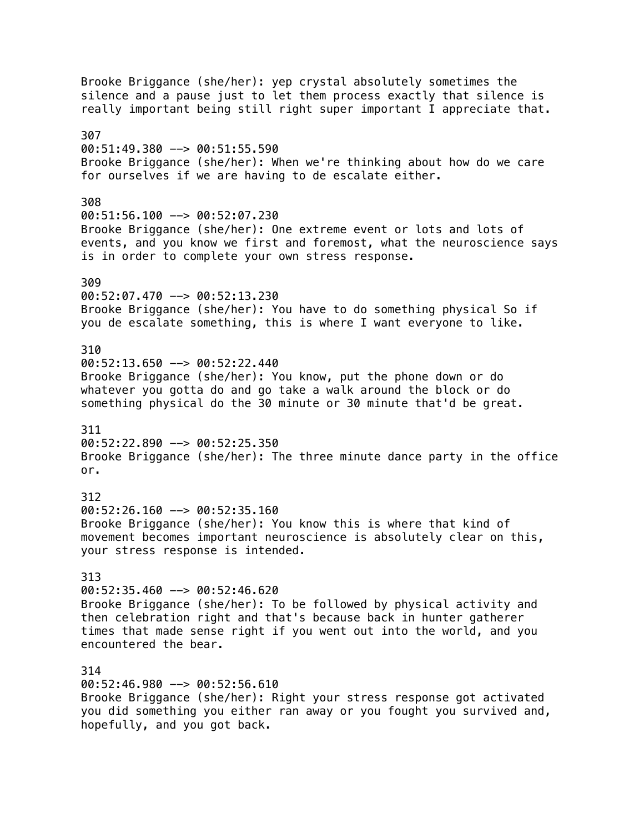Brooke Briggance (she/her): yep crystal absolutely sometimes the silence and a pause just to let them process exactly that silence is really important being still right super important I appreciate that. 307 00:51:49.380 --> 00:51:55.590 Brooke Briggance (she/her): When we're thinking about how do we care for ourselves if we are having to de escalate either. 308  $00:51:56.100$  -->  $00:52:07.230$ Brooke Briggance (she/her): One extreme event or lots and lots of events, and you know we first and foremost, what the neuroscience says is in order to complete your own stress response. 309 00:52:07.470 --> 00:52:13.230 Brooke Briggance (she/her): You have to do something physical So if you de escalate something, this is where I want everyone to like. 310  $00:52:13.650$  -->  $00:52:22.440$ Brooke Briggance (she/her): You know, put the phone down or do whatever you gotta do and go take a walk around the block or do something physical do the 30 minute or 30 minute that'd be great. 311 00:52:22.890 --> 00:52:25.350 Brooke Briggance (she/her): The three minute dance party in the office or. 312  $00:52:26.160$  -->  $00:52:35.160$ Brooke Briggance (she/her): You know this is where that kind of movement becomes important neuroscience is absolutely clear on this, your stress response is intended. 313  $00:52:35.460$  -->  $00:52:46.620$ Brooke Briggance (she/her): To be followed by physical activity and then celebration right and that's because back in hunter gatherer times that made sense right if you went out into the world, and you encountered the bear. 314 00:52:46.980 --> 00:52:56.610 Brooke Briggance (she/her): Right your stress response got activated you did something you either ran away or you fought you survived and, hopefully, and you got back.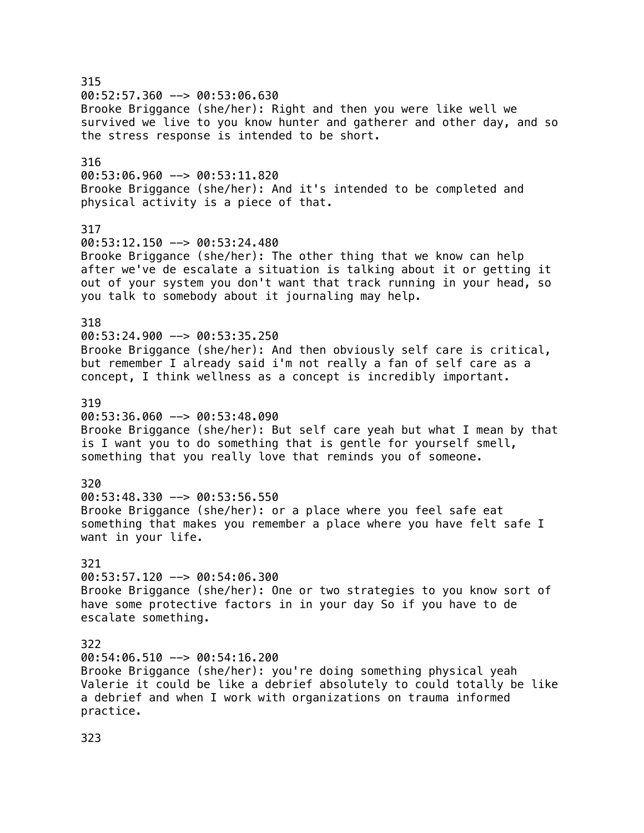315 00:52:57.360 --> 00:53:06.630 Brooke Briggance (she/her): Right and then you were like well we survived we live to you know hunter and gatherer and other day, and so the stress response is intended to be short. 316  $00:53:06.960$  -->  $00:53:11.820$ Brooke Briggance (she/her): And it's intended to be completed and physical activity is a piece of that. 317 00:53:12.150 --> 00:53:24.480 Brooke Briggance (she/her): The other thing that we know can help after we've de escalate a situation is talking about it or getting it out of your system you don't want that track running in your head, so you talk to somebody about it journaling may help. 318  $00:53:24.900$  -->  $00:53:35.250$ Brooke Briggance (she/her): And then obviously self care is critical, but remember I already said i'm not really a fan of self care as a concept, I think wellness as a concept is incredibly important. 319 00:53:36.060 --> 00:53:48.090 Brooke Briggance (she/her): But self care yeah but what I mean by that is I want you to do something that is gentle for yourself smell, something that you really love that reminds you of someone. 320 00:53:48.330 --> 00:53:56.550 Brooke Briggance (she/her): or a place where you feel safe eat something that makes you remember a place where you have felt safe I want in your life. 321 00:53:57.120 --> 00:54:06.300 Brooke Briggance (she/her): One or two strategies to you know sort of have some protective factors in in your day So if you have to de escalate something. 322 00:54:06.510 --> 00:54:16.200 Brooke Briggance (she/her): you're doing something physical yeah Valerie it could be like a debrief absolutely to could totally be like a debrief and when I work with organizations on trauma informed practice.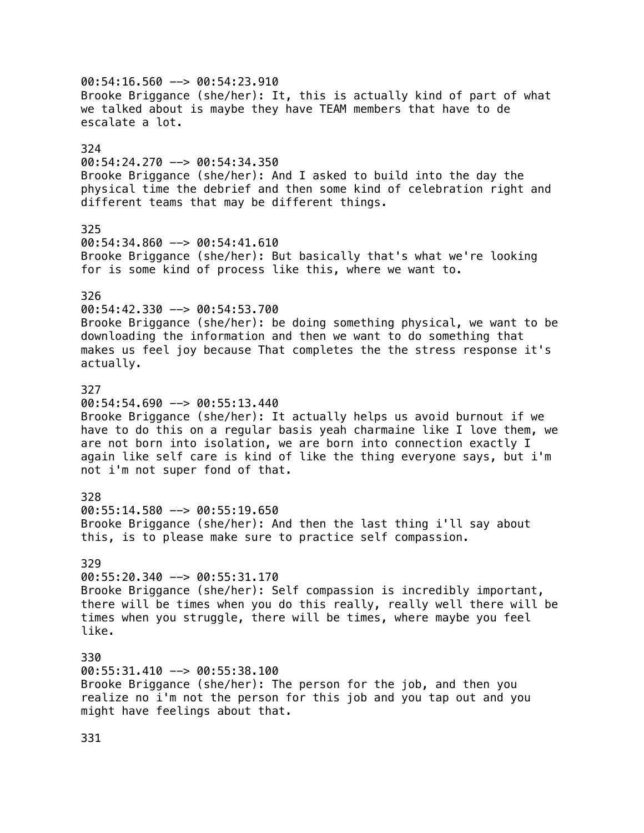00:54:16.560 --> 00:54:23.910 Brooke Briggance (she/her): It, this is actually kind of part of what we talked about is maybe they have TEAM members that have to de escalate a lot. 324 00:54:24.270 --> 00:54:34.350 Brooke Briggance (she/her): And I asked to build into the day the physical time the debrief and then some kind of celebration right and different teams that may be different things. 325 00:54:34.860 --> 00:54:41.610 Brooke Briggance (she/her): But basically that's what we're looking for is some kind of process like this, where we want to. 326 00:54:42.330 --> 00:54:53.700 Brooke Briggance (she/her): be doing something physical, we want to be downloading the information and then we want to do something that makes us feel joy because That completes the the stress response it's actually. 327  $00:54:54.690$  -->  $00:55:13.440$ Brooke Briggance (she/her): It actually helps us avoid burnout if we have to do this on a regular basis yeah charmaine like I love them, we are not born into isolation, we are born into connection exactly I again like self care is kind of like the thing everyone says, but i'm not i'm not super fond of that. 328 00:55:14.580 --> 00:55:19.650 Brooke Briggance (she/her): And then the last thing i'll say about this, is to please make sure to practice self compassion. 329 00:55:20.340 --> 00:55:31.170 Brooke Briggance (she/her): Self compassion is incredibly important, there will be times when you do this really, really well there will be times when you struggle, there will be times, where maybe you feel like. 330 00:55:31.410 --> 00:55:38.100 Brooke Briggance (she/her): The person for the job, and then you realize no i'm not the person for this job and you tap out and you might have feelings about that.

331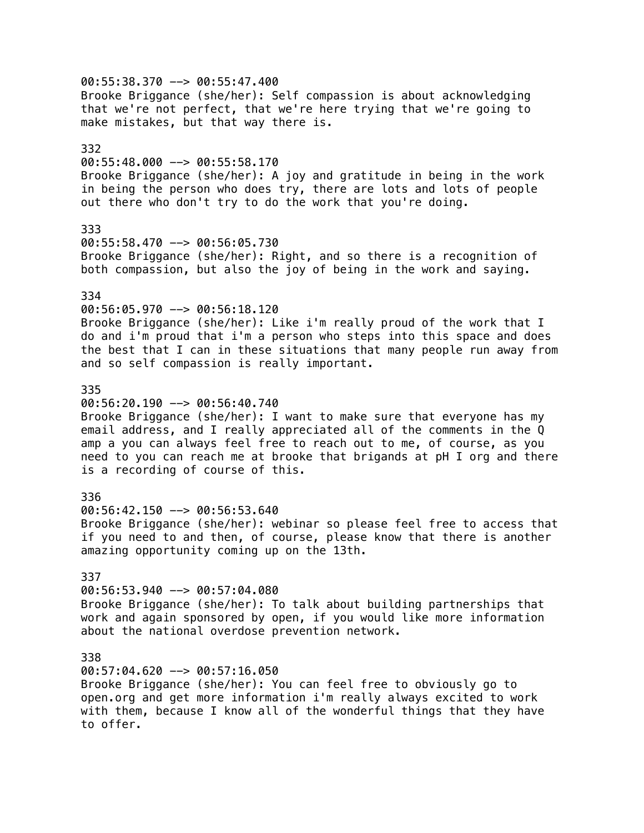00:55:38.370 --> 00:55:47.400 Brooke Briggance (she/her): Self compassion is about acknowledging that we're not perfect, that we're here trying that we're going to make mistakes, but that way there is. 332 00:55:48.000 --> 00:55:58.170 Brooke Briggance (she/her): A joy and gratitude in being in the work in being the person who does try, there are lots and lots of people out there who don't try to do the work that you're doing. 333 00:55:58.470 --> 00:56:05.730 Brooke Briggance (she/her): Right, and so there is a recognition of both compassion, but also the joy of being in the work and saying. 334 00:56:05.970 --> 00:56:18.120 Brooke Briggance (she/her): Like i'm really proud of the work that I do and i'm proud that i'm a person who steps into this space and does the best that I can in these situations that many people run away from and so self compassion is really important. 335 00:56:20.190 --> 00:56:40.740 Brooke Briggance (she/her): I want to make sure that everyone has my email address, and I really appreciated all of the comments in the Q amp a you can always feel free to reach out to me, of course, as you need to you can reach me at brooke that brigands at pH I org and there is a recording of course of this. 336 00:56:42.150 --> 00:56:53.640 Brooke Briggance (she/her): webinar so please feel free to access that if you need to and then, of course, please know that there is another amazing opportunity coming up on the 13th. 337 00:56:53.940 --> 00:57:04.080 Brooke Briggance (she/her): To talk about building partnerships that work and again sponsored by open, if you would like more information about the national overdose prevention network. 338  $00:57:04.620$  -->  $00:57:16.050$ Brooke Briggance (she/her): You can feel free to obviously go to open.org and get more information i'm really always excited to work

with them, because I know all of the wonderful things that they have to offer.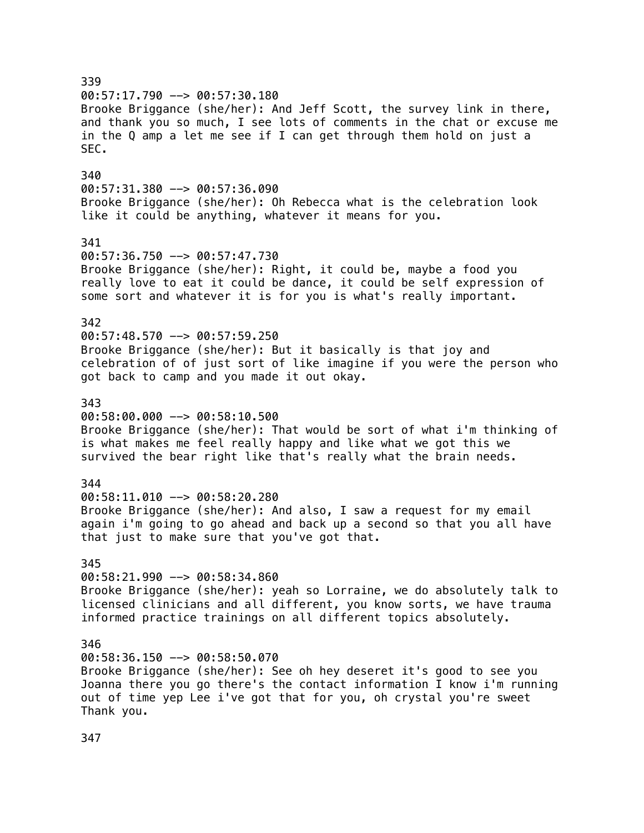339 00:57:17.790 --> 00:57:30.180 Brooke Briggance (she/her): And Jeff Scott, the survey link in there, and thank you so much, I see lots of comments in the chat or excuse me in the Q amp a let me see if I can get through them hold on just a SEC. 340 00:57:31.380 --> 00:57:36.090 Brooke Briggance (she/her): Oh Rebecca what is the celebration look like it could be anything, whatever it means for you. 341 00:57:36.750 --> 00:57:47.730 Brooke Briggance (she/her): Right, it could be, maybe a food you really love to eat it could be dance, it could be self expression of some sort and whatever it is for you is what's really important. 342  $00:57:48.570$  -->  $00:57:59.250$ Brooke Briggance (she/her): But it basically is that joy and celebration of of just sort of like imagine if you were the person who got back to camp and you made it out okay. 343 00:58:00.000 --> 00:58:10.500 Brooke Briggance (she/her): That would be sort of what i'm thinking of is what makes me feel really happy and like what we got this we survived the bear right like that's really what the brain needs. 344 00:58:11.010 --> 00:58:20.280 Brooke Briggance (she/her): And also, I saw a request for my email again i'm going to go ahead and back up a second so that you all have that just to make sure that you've got that. 345 00:58:21.990 --> 00:58:34.860 Brooke Briggance (she/her): yeah so Lorraine, we do absolutely talk to licensed clinicians and all different, you know sorts, we have trauma informed practice trainings on all different topics absolutely. 346 00:58:36.150 --> 00:58:50.070 Brooke Briggance (she/her): See oh hey deseret it's good to see you Joanna there you go there's the contact information I know i'm running out of time yep Lee i've got that for you, oh crystal you're sweet Thank you.